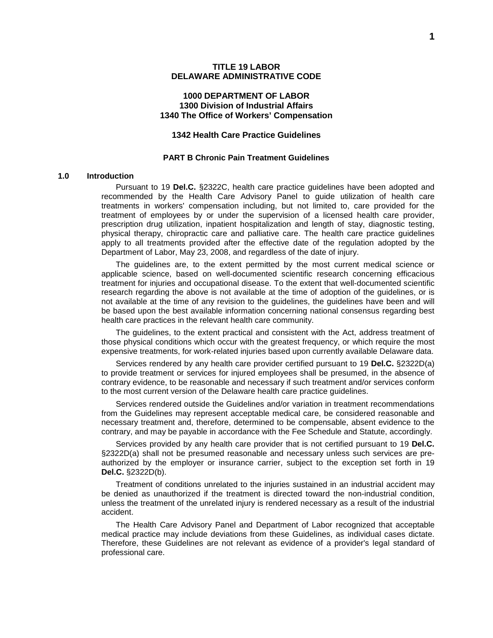### **1000 DEPARTMENT OF LABOR 1300 Division of Industrial Affairs 1340 The Office of Workers' Compensation**

### **1342 Health Care Practice Guidelines**

#### **PART B Chronic Pain Treatment Guidelines**

#### **1.0 Introduction**

Pursuant to 19 **Del.C.** §2322C, health care practice guidelines have been adopted and recommended by the Health Care Advisory Panel to guide utilization of health care treatments in workers' compensation including, but not limited to, care provided for the treatment of employees by or under the supervision of a licensed health care provider, prescription drug utilization, inpatient hospitalization and length of stay, diagnostic testing, physical therapy, chiropractic care and palliative care. The health care practice guidelines apply to all treatments provided after the effective date of the regulation adopted by the Department of Labor, May 23, 2008, and regardless of the date of injury.

The guidelines are, to the extent permitted by the most current medical science or applicable science, based on well-documented scientific research concerning efficacious treatment for injuries and occupational disease. To the extent that well-documented scientific research regarding the above is not available at the time of adoption of the guidelines, or is not available at the time of any revision to the guidelines, the guidelines have been and will be based upon the best available information concerning national consensus regarding best health care practices in the relevant health care community.

The guidelines, to the extent practical and consistent with the Act, address treatment of those physical conditions which occur with the greatest frequency, or which require the most expensive treatments, for work-related injuries based upon currently available Delaware data.

Services rendered by any health care provider certified pursuant to 19 **Del.C.** §2322D(a) to provide treatment or services for injured employees shall be presumed, in the absence of contrary evidence, to be reasonable and necessary if such treatment and/or services conform to the most current version of the Delaware health care practice guidelines.

Services rendered outside the Guidelines and/or variation in treatment recommendations from the Guidelines may represent acceptable medical care, be considered reasonable and necessary treatment and, therefore, determined to be compensable, absent evidence to the contrary, and may be payable in accordance with the Fee Schedule and Statute, accordingly.

Services provided by any health care provider that is not certified pursuant to 19 **Del.C.** §2322D(a) shall not be presumed reasonable and necessary unless such services are preauthorized by the employer or insurance carrier, subject to the exception set forth in 19 **Del.C.** §2322D(b).

Treatment of conditions unrelated to the injuries sustained in an industrial accident may be denied as unauthorized if the treatment is directed toward the non-industrial condition, unless the treatment of the unrelated injury is rendered necessary as a result of the industrial accident.

The Health Care Advisory Panel and Department of Labor recognized that acceptable medical practice may include deviations from these Guidelines, as individual cases dictate. Therefore, these Guidelines are not relevant as evidence of a provider's legal standard of professional care.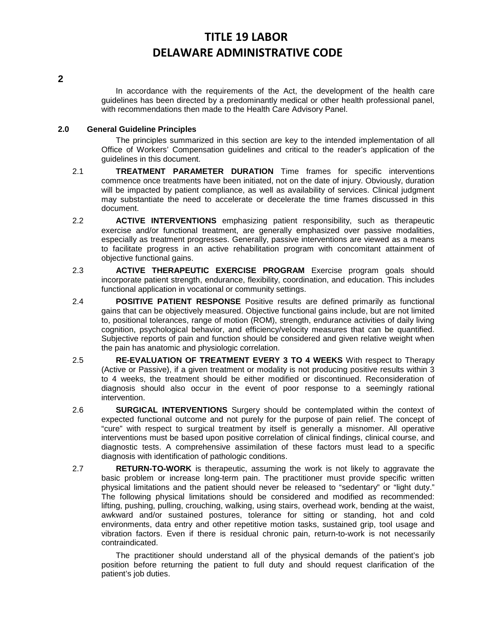### **2**

In accordance with the requirements of the Act, the development of the health care guidelines has been directed by a predominantly medical or other health professional panel, with recommendations then made to the Health Care Advisory Panel.

### **2.0 General Guideline Principles**

The principles summarized in this section are key to the intended implementation of all Office of Workers' Compensation guidelines and critical to the reader's application of the guidelines in this document.

- 2.1 **TREATMENT PARAMETER DURATION** Time frames for specific interventions commence once treatments have been initiated, not on the date of injury. Obviously, duration will be impacted by patient compliance, as well as availability of services. Clinical judgment may substantiate the need to accelerate or decelerate the time frames discussed in this document.
- 2.2 **ACTIVE INTERVENTIONS** emphasizing patient responsibility, such as therapeutic exercise and/or functional treatment, are generally emphasized over passive modalities, especially as treatment progresses. Generally, passive interventions are viewed as a means to facilitate progress in an active rehabilitation program with concomitant attainment of objective functional gains.
- 2.3 **ACTIVE THERAPEUTIC EXERCISE PROGRAM** Exercise program goals should incorporate patient strength, endurance, flexibility, coordination, and education. This includes functional application in vocational or community settings.
- 2.4 **POSITIVE PATIENT RESPONSE** Positive results are defined primarily as functional gains that can be objectively measured. Objective functional gains include, but are not limited to, positional tolerances, range of motion (ROM), strength, endurance activities of daily living cognition, psychological behavior, and efficiency/velocity measures that can be quantified. Subjective reports of pain and function should be considered and given relative weight when the pain has anatomic and physiologic correlation.
- 2.5 **RE-EVALUATION OF TREATMENT EVERY 3 TO 4 WEEKS** With respect to Therapy (Active or Passive), if a given treatment or modality is not producing positive results within 3 to 4 weeks, the treatment should be either modified or discontinued. Reconsideration of diagnosis should also occur in the event of poor response to a seemingly rational intervention.
- 2.6 **SURGICAL INTERVENTIONS** Surgery should be contemplated within the context of expected functional outcome and not purely for the purpose of pain relief. The concept of "cure" with respect to surgical treatment by itself is generally a misnomer. All operative interventions must be based upon positive correlation of clinical findings, clinical course, and diagnostic tests. A comprehensive assimilation of these factors must lead to a specific diagnosis with identification of pathologic conditions.
- 2.7 **RETURN-TO-WORK** is therapeutic, assuming the work is not likely to aggravate the basic problem or increase long-term pain. The practitioner must provide specific written physical limitations and the patient should never be released to "sedentary" or "light duty." The following physical limitations should be considered and modified as recommended: lifting, pushing, pulling, crouching, walking, using stairs, overhead work, bending at the waist, awkward and/or sustained postures, tolerance for sitting or standing, hot and cold environments, data entry and other repetitive motion tasks, sustained grip, tool usage and vibration factors. Even if there is residual chronic pain, return-to-work is not necessarily contraindicated.

The practitioner should understand all of the physical demands of the patient's job position before returning the patient to full duty and should request clarification of the patient's job duties.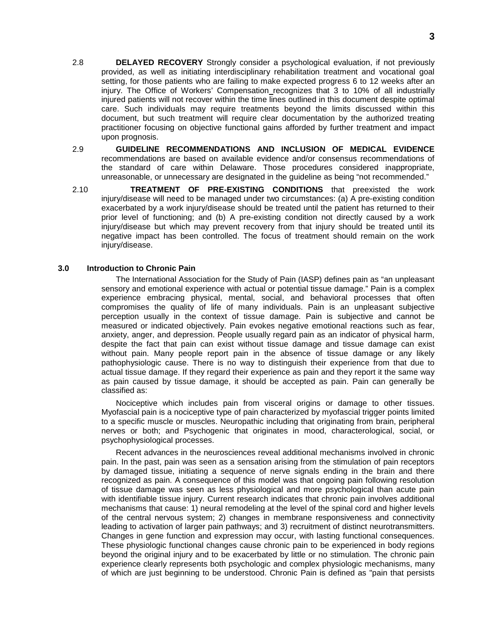- 2.8 **DELAYED RECOVERY** Strongly consider a psychological evaluation, if not previously provided, as well as initiating interdisciplinary rehabilitation treatment and vocational goal setting, for those patients who are failing to make expected progress 6 to 12 weeks after an injury. The Office of Workers' Compensation recognizes that 3 to 10% of all industrially injured patients will not recover within the time lines outlined in this document despite optimal care. Such individuals may require treatments beyond the limits discussed within this document, but such treatment will require clear documentation by the authorized treating practitioner focusing on objective functional gains afforded by further treatment and impact upon prognosis.
- 2.9 **GUIDELINE RECOMMENDATIONS AND INCLUSION OF MEDICAL EVIDENCE**  recommendations are based on available evidence and/or consensus recommendations of the standard of care within Delaware. Those procedures considered inappropriate, unreasonable, or unnecessary are designated in the guideline as being "not recommended."
- 2.10 **TREATMENT OF PRE-EXISTING CONDITIONS** that preexisted the work injury/disease will need to be managed under two circumstances: (a) A pre-existing condition exacerbated by a work injury/disease should be treated until the patient has returned to their prior level of functioning; and (b) A pre-existing condition not directly caused by a work injury/disease but which may prevent recovery from that injury should be treated until its negative impact has been controlled. The focus of treatment should remain on the work injury/disease.

#### **3.0 Introduction to Chronic Pain**

The International Association for the Study of Pain (IASP) defines pain as "an unpleasant sensory and emotional experience with actual or potential tissue damage." Pain is a complex experience embracing physical, mental, social, and behavioral processes that often compromises the quality of life of many individuals. Pain is an unpleasant subjective perception usually in the context of tissue damage. Pain is subjective and cannot be measured or indicated objectively. Pain evokes negative emotional reactions such as fear, anxiety, anger, and depression. People usually regard pain as an indicator of physical harm, despite the fact that pain can exist without tissue damage and tissue damage can exist without pain. Many people report pain in the absence of tissue damage or any likely pathophysiologic cause. There is no way to distinguish their experience from that due to actual tissue damage. If they regard their experience as pain and they report it the same way as pain caused by tissue damage, it should be accepted as pain. Pain can generally be classified as:

Nociceptive which includes pain from visceral origins or damage to other tissues. Myofascial pain is a nociceptive type of pain characterized by myofascial trigger points limited to a specific muscle or muscles. Neuropathic including that originating from brain, peripheral nerves or both; and Psychogenic that originates in mood, characterological, social, or psychophysiological processes.

Recent advances in the neurosciences reveal additional mechanisms involved in chronic pain. In the past, pain was seen as a sensation arising from the stimulation of pain receptors by damaged tissue, initiating a sequence of nerve signals ending in the brain and there recognized as pain. A consequence of this model was that ongoing pain following resolution of tissue damage was seen as less physiological and more psychological than acute pain with identifiable tissue injury. Current research indicates that chronic pain involves additional mechanisms that cause: 1) neural remodeling at the level of the spinal cord and higher levels of the central nervous system; 2) changes in membrane responsiveness and connectivity leading to activation of larger pain pathways; and 3) recruitment of distinct neurotransmitters. Changes in gene function and expression may occur, with lasting functional consequences. These physiologic functional changes cause chronic pain to be experienced in body regions beyond the original injury and to be exacerbated by little or no stimulation. The chronic pain experience clearly represents both psychologic and complex physiologic mechanisms, many of which are just beginning to be understood. Chronic Pain is defined as "pain that persists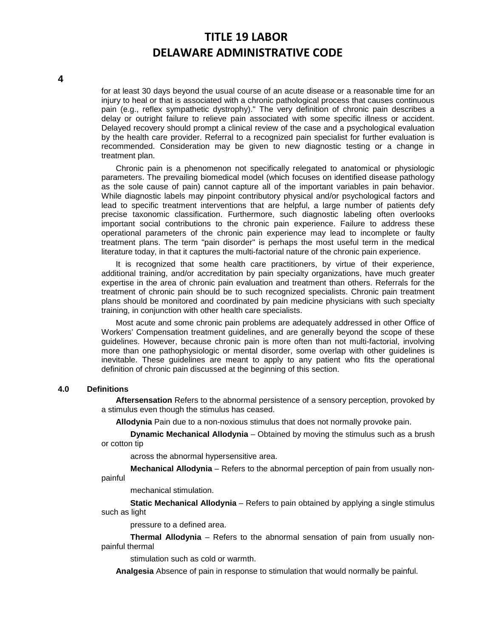for at least 30 days beyond the usual course of an acute disease or a reasonable time for an injury to heal or that is associated with a chronic pathological process that causes continuous pain (e.g., reflex sympathetic dystrophy)." The very definition of chronic pain describes a delay or outright failure to relieve pain associated with some specific illness or accident. Delayed recovery should prompt a clinical review of the case and a psychological evaluation by the health care provider. Referral to a recognized pain specialist for further evaluation is recommended. Consideration may be given to new diagnostic testing or a change in treatment plan.

Chronic pain is a phenomenon not specifically relegated to anatomical or physiologic parameters. The prevailing biomedical model (which focuses on identified disease pathology as the sole cause of pain) cannot capture all of the important variables in pain behavior. While diagnostic labels may pinpoint contributory physical and/or psychological factors and lead to specific treatment interventions that are helpful, a large number of patients defy precise taxonomic classification. Furthermore, such diagnostic labeling often overlooks important social contributions to the chronic pain experience. Failure to address these operational parameters of the chronic pain experience may lead to incomplete or faulty treatment plans. The term "pain disorder" is perhaps the most useful term in the medical literature today, in that it captures the multi-factorial nature of the chronic pain experience.

It is recognized that some health care practitioners, by virtue of their experience, additional training, and/or accreditation by pain specialty organizations, have much greater expertise in the area of chronic pain evaluation and treatment than others. Referrals for the treatment of chronic pain should be to such recognized specialists. Chronic pain treatment plans should be monitored and coordinated by pain medicine physicians with such specialty training, in conjunction with other health care specialists.

Most acute and some chronic pain problems are adequately addressed in other Office of Workers' Compensation treatment guidelines, and are generally beyond the scope of these guidelines. However, because chronic pain is more often than not multi-factorial, involving more than one pathophysiologic or mental disorder, some overlap with other guidelines is inevitable. These guidelines are meant to apply to any patient who fits the operational definition of chronic pain discussed at the beginning of this section.

#### **4.0 Definitions**

**Aftersensation** Refers to the abnormal persistence of a sensory perception, provoked by a stimulus even though the stimulus has ceased.

**Allodynia** Pain due to a non-noxious stimulus that does not normally provoke pain.

**Dynamic Mechanical Allodynia** – Obtained by moving the stimulus such as a brush or cotton tip

across the abnormal hypersensitive area.

**Mechanical Allodynia** – Refers to the abnormal perception of pain from usually nonpainful

mechanical stimulation.

**Static Mechanical Allodynia** – Refers to pain obtained by applying a single stimulus such as light

pressure to a defined area.

**Thermal Allodynia** – Refers to the abnormal sensation of pain from usually nonpainful thermal

stimulation such as cold or warmth.

**Analgesia** Absence of pain in response to stimulation that would normally be painful.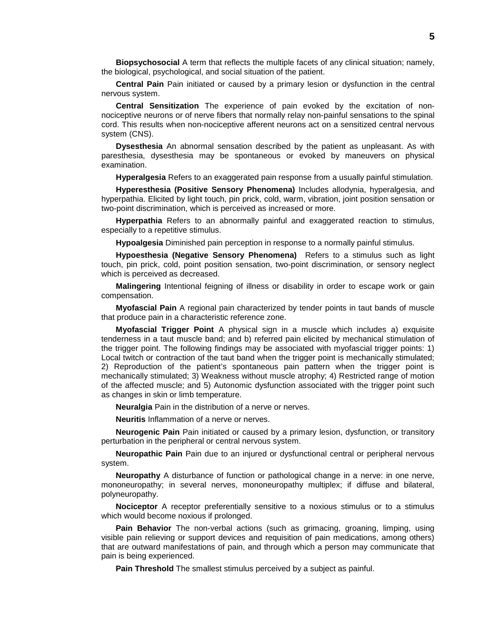**Biopsychosocial** A term that reflects the multiple facets of any clinical situation; namely, the biological, psychological, and social situation of the patient.

**Central Pain** Pain initiated or caused by a primary lesion or dysfunction in the central nervous system.

**Central Sensitization** The experience of pain evoked by the excitation of nonnociceptive neurons or of nerve fibers that normally relay non-painful sensations to the spinal cord. This results when non-nociceptive afferent neurons act on a sensitized central nervous system (CNS).

**Dysesthesia** An abnormal sensation described by the patient as unpleasant. As with paresthesia, dysesthesia may be spontaneous or evoked by maneuvers on physical examination.

**Hyperalgesia** Refers to an exaggerated pain response from a usually painful stimulation.

**Hyperesthesia (Positive Sensory Phenomena)** Includes allodynia, hyperalgesia, and hyperpathia. Elicited by light touch, pin prick, cold, warm, vibration, joint position sensation or two-point discrimination, which is perceived as increased or more.

**Hyperpathia** Refers to an abnormally painful and exaggerated reaction to stimulus, especially to a repetitive stimulus.

**Hypoalgesia** Diminished pain perception in response to a normally painful stimulus.

**Hypoesthesia (Negative Sensory Phenomena)** Refers to a stimulus such as light touch, pin prick, cold, point position sensation, two-point discrimination, or sensory neglect which is perceived as decreased.

**Malingering** Intentional feigning of illness or disability in order to escape work or gain compensation.

**Myofascial Pain** A regional pain characterized by tender points in taut bands of muscle that produce pain in a characteristic reference zone.

**Myofascial Trigger Point** A physical sign in a muscle which includes a) exquisite tenderness in a taut muscle band; and b) referred pain elicited by mechanical stimulation of the trigger point. The following findings may be associated with myofascial trigger points: 1) Local twitch or contraction of the taut band when the trigger point is mechanically stimulated; 2) Reproduction of the patient's spontaneous pain pattern when the trigger point is mechanically stimulated; 3) Weakness without muscle atrophy; 4) Restricted range of motion of the affected muscle; and 5) Autonomic dysfunction associated with the trigger point such as changes in skin or limb temperature.

**Neuralgia** Pain in the distribution of a nerve or nerves.

**Neuritis** Inflammation of a nerve or nerves.

**Neurogenic Pain** Pain initiated or caused by a primary lesion, dysfunction, or transitory perturbation in the peripheral or central nervous system.

**Neuropathic Pain** Pain due to an injured or dysfunctional central or peripheral nervous system.

**Neuropathy** A disturbance of function or pathological change in a nerve: in one nerve, mononeuropathy; in several nerves, mononeuropathy multiplex; if diffuse and bilateral, polyneuropathy.

**Nociceptor** A receptor preferentially sensitive to a noxious stimulus or to a stimulus which would become noxious if prolonged.

**Pain Behavior** The non-verbal actions (such as grimacing, groaning, limping, using visible pain relieving or support devices and requisition of pain medications, among others) that are outward manifestations of pain, and through which a person may communicate that pain is being experienced.

**Pain Threshold** The smallest stimulus perceived by a subject as painful.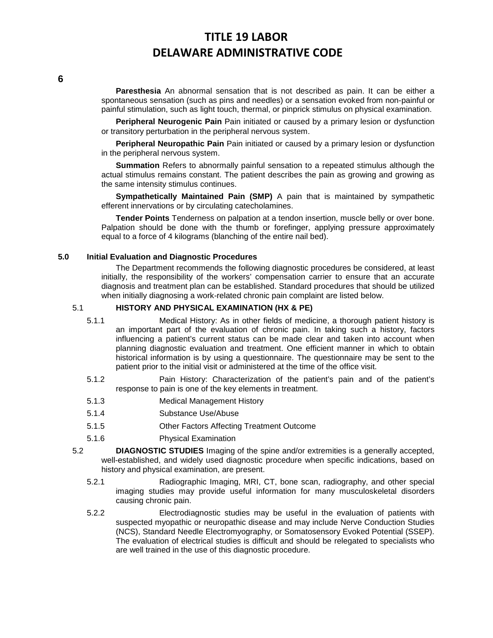**Paresthesia** An abnormal sensation that is not described as pain. It can be either a spontaneous sensation (such as pins and needles) or a sensation evoked from non-painful or painful stimulation, such as light touch, thermal, or pinprick stimulus on physical examination.

**Peripheral Neurogenic Pain** Pain initiated or caused by a primary lesion or dysfunction or transitory perturbation in the peripheral nervous system.

**Peripheral Neuropathic Pain** Pain initiated or caused by a primary lesion or dysfunction in the peripheral nervous system.

**Summation** Refers to abnormally painful sensation to a repeated stimulus although the actual stimulus remains constant. The patient describes the pain as growing and growing as the same intensity stimulus continues.

**Sympathetically Maintained Pain (SMP)** A pain that is maintained by sympathetic efferent innervations or by circulating catecholamines.

**Tender Points** Tenderness on palpation at a tendon insertion, muscle belly or over bone. Palpation should be done with the thumb or forefinger, applying pressure approximately equal to a force of 4 kilograms (blanching of the entire nail bed).

### **5.0 Initial Evaluation and Diagnostic Procedures**

The Department recommends the following diagnostic procedures be considered, at least initially, the responsibility of the workers' compensation carrier to ensure that an accurate diagnosis and treatment plan can be established. Standard procedures that should be utilized when initially diagnosing a work-related chronic pain complaint are listed below.

### 5.1 **HISTORY AND PHYSICAL EXAMINATION (HX & PE)**

- 5.1.1 Medical History: As in other fields of medicine, a thorough patient history is an important part of the evaluation of chronic pain. In taking such a history, factors influencing a patient's current status can be made clear and taken into account when planning diagnostic evaluation and treatment. One efficient manner in which to obtain historical information is by using a questionnaire. The questionnaire may be sent to the patient prior to the initial visit or administered at the time of the office visit.
- 5.1.2 Pain History: Characterization of the patient's pain and of the patient's response to pain is one of the key elements in treatment.
- 5.1.3 Medical Management History
- 5.1.4 Substance Use/Abuse
- 5.1.5 Other Factors Affecting Treatment Outcome
- 5.1.6 Physical Examination
- 5.2 **DIAGNOSTIC STUDIES** Imaging of the spine and/or extremities is a generally accepted, well-established, and widely used diagnostic procedure when specific indications, based on history and physical examination, are present.
	- 5.2.1 Radiographic Imaging, MRI, CT, bone scan, radiography, and other special imaging studies may provide useful information for many musculoskeletal disorders causing chronic pain.
	- 5.2.2 Electrodiagnostic studies may be useful in the evaluation of patients with suspected myopathic or neuropathic disease and may include Nerve Conduction Studies (NCS), Standard Needle Electromyography, or Somatosensory Evoked Potential (SSEP). The evaluation of electrical studies is difficult and should be relegated to specialists who are well trained in the use of this diagnostic procedure.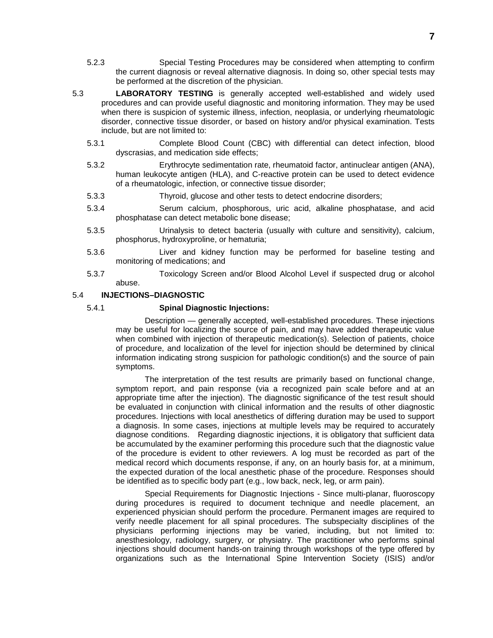- 5.2.3 Special Testing Procedures may be considered when attempting to confirm the current diagnosis or reveal alternative diagnosis. In doing so, other special tests may be performed at the discretion of the physician.
- 5.3 **LABORATORY TESTING** is generally accepted well-established and widely used procedures and can provide useful diagnostic and monitoring information. They may be used when there is suspicion of systemic illness, infection, neoplasia, or underlying rheumatologic disorder, connective tissue disorder, or based on history and/or physical examination. Tests include, but are not limited to:
	- 5.3.1 Complete Blood Count (CBC) with differential can detect infection, blood dyscrasias, and medication side effects;
	- 5.3.2 Erythrocyte sedimentation rate, rheumatoid factor, antinuclear antigen (ANA), human leukocyte antigen (HLA), and C-reactive protein can be used to detect evidence of a rheumatologic, infection, or connective tissue disorder;
	- 5.3.3 Thyroid, glucose and other tests to detect endocrine disorders;
	- 5.3.4 Serum calcium, phosphorous, uric acid, alkaline phosphatase, and acid phosphatase can detect metabolic bone disease;
	- 5.3.5 Urinalysis to detect bacteria (usually with culture and sensitivity), calcium, phosphorus, hydroxyproline, or hematuria;
	- 5.3.6 Liver and kidney function may be performed for baseline testing and monitoring of medications; and
	- 5.3.7 Toxicology Screen and/or Blood Alcohol Level if suspected drug or alcohol abuse.

### 5.4 **INJECTIONS–DIAGNOSTIC**

### 5.4.1 **Spinal Diagnostic Injections:**

Description — generally accepted, well-established procedures. These injections may be useful for localizing the source of pain, and may have added therapeutic value when combined with injection of therapeutic medication(s). Selection of patients, choice of procedure, and localization of the level for injection should be determined by clinical information indicating strong suspicion for pathologic condition(s) and the source of pain symptoms.

The interpretation of the test results are primarily based on functional change, symptom report, and pain response (via a recognized pain scale before and at an appropriate time after the injection). The diagnostic significance of the test result should be evaluated in conjunction with clinical information and the results of other diagnostic procedures. Injections with local anesthetics of differing duration may be used to support a diagnosis. In some cases, injections at multiple levels may be required to accurately diagnose conditions. Regarding diagnostic injections, it is obligatory that sufficient data be accumulated by the examiner performing this procedure such that the diagnostic value of the procedure is evident to other reviewers. A log must be recorded as part of the medical record which documents response, if any, on an hourly basis for, at a minimum, the expected duration of the local anesthetic phase of the procedure. Responses should be identified as to specific body part (e.g., low back, neck, leg, or arm pain).

Special Requirements for Diagnostic Injections - Since multi-planar, fluoroscopy during procedures is required to document technique and needle placement, an experienced physician should perform the procedure. Permanent images are required to verify needle placement for all spinal procedures. The subspecialty disciplines of the physicians performing injections may be varied, including, but not limited to: anesthesiology, radiology, surgery, or physiatry. The practitioner who performs spinal injections should document hands-on training through workshops of the type offered by organizations such as the International Spine Intervention Society (ISIS) and/or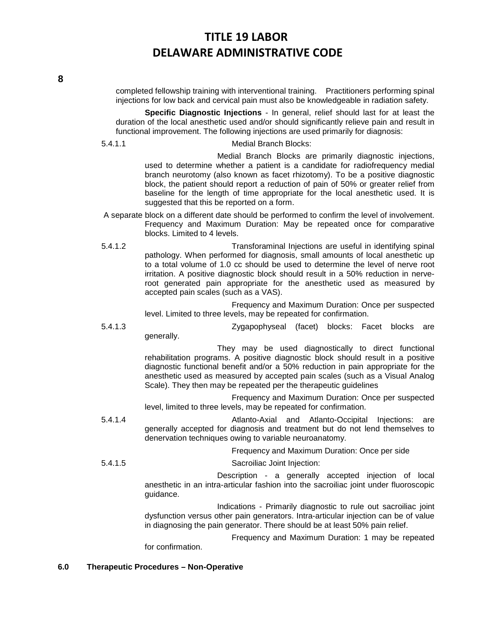completed fellowship training with interventional training. Practitioners performing spinal injections for low back and cervical pain must also be knowledgeable in radiation safety.

**Specific Diagnostic Injections** - In general, relief should last for at least the duration of the local anesthetic used and/or should significantly relieve pain and result in functional improvement. The following injections are used primarily for diagnosis:

5.4.1.1 Medial Branch Blocks:

Medial Branch Blocks are primarily diagnostic injections, used to determine whether a patient is a candidate for radiofrequency medial branch neurotomy (also known as facet rhizotomy). To be a positive diagnostic block, the patient should report a reduction of pain of 50% or greater relief from baseline for the length of time appropriate for the local anesthetic used. It is suggested that this be reported on a form.

- A separate block on a different date should be performed to confirm the level of involvement. Frequency and Maximum Duration: May be repeated once for comparative blocks. Limited to 4 levels.
- 5.4.1.2 Transforaminal Injections are useful in identifying spinal pathology. When performed for diagnosis, small amounts of local anesthetic up to a total volume of 1.0 cc should be used to determine the level of nerve root irritation. A positive diagnostic block should result in a 50% reduction in nerveroot generated pain appropriate for the anesthetic used as measured by accepted pain scales (such as a VAS).

Frequency and Maximum Duration: Once per suspected level. Limited to three levels, may be repeated for confirmation.

5.4.1.3 Zygapophyseal (facet) blocks: Facet blocks are generally.

> They may be used diagnostically to direct functional rehabilitation programs. A positive diagnostic block should result in a positive diagnostic functional benefit and/or a 50% reduction in pain appropriate for the anesthetic used as measured by accepted pain scales (such as a Visual Analog Scale). They then may be repeated per the therapeutic guidelines

> Frequency and Maximum Duration: Once per suspected level, limited to three levels, may be repeated for confirmation.

5.4.1.4 Atlanto-Axial and Atlanto-Occipital Injections: are generally accepted for diagnosis and treatment but do not lend themselves to denervation techniques owing to variable neuroanatomy.

Frequency and Maximum Duration: Once per side

5.4.1.5 Sacroiliac Joint Injection: Description - a generally accepted injection of local

anesthetic in an intra-articular fashion into the sacroiliac joint under fluoroscopic guidance.

Indications - Primarily diagnostic to rule out sacroiliac joint dysfunction versus other pain generators. Intra-articular injection can be of value in diagnosing the pain generator. There should be at least 50% pain relief.

Frequency and Maximum Duration: 1 may be repeated for confirmation.

### **6.0 Therapeutic Procedures – Non-Operative**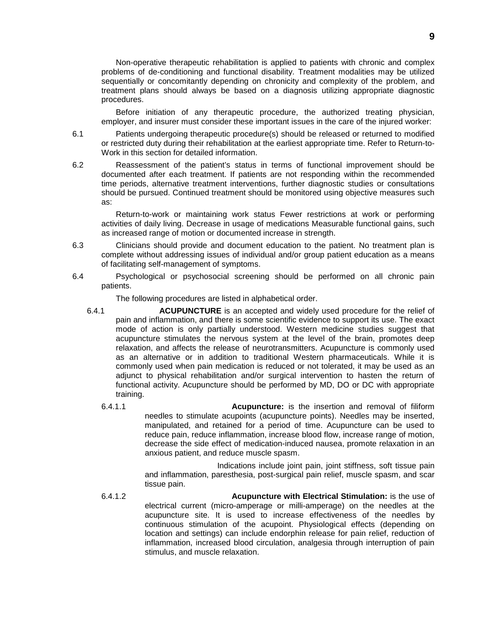Non-operative therapeutic rehabilitation is applied to patients with chronic and complex problems of de-conditioning and functional disability. Treatment modalities may be utilized sequentially or concomitantly depending on chronicity and complexity of the problem, and treatment plans should always be based on a diagnosis utilizing appropriate diagnostic procedures.

Before initiation of any therapeutic procedure, the authorized treating physician, employer, and insurer must consider these important issues in the care of the injured worker:

6.1 Patients undergoing therapeutic procedure(s) should be released or returned to modified or restricted duty during their rehabilitation at the earliest appropriate time. Refer to Return-to-Work in this section for detailed information.

6.2 Reassessment of the patient's status in terms of functional improvement should be documented after each treatment. If patients are not responding within the recommended time periods, alternative treatment interventions, further diagnostic studies or consultations should be pursued. Continued treatment should be monitored using objective measures such as:

Return-to-work or maintaining work status Fewer restrictions at work or performing activities of daily living. Decrease in usage of medications Measurable functional gains, such as increased range of motion or documented increase in strength.

- 6.3 Clinicians should provide and document education to the patient. No treatment plan is complete without addressing issues of individual and/or group patient education as a means of facilitating self-management of symptoms.
- 6.4 Psychological or psychosocial screening should be performed on all chronic pain patients.

The following procedures are listed in alphabetical order.

- 6.4.1 **ACUPUNCTURE** is an accepted and widely used procedure for the relief of pain and inflammation, and there is some scientific evidence to support its use. The exact mode of action is only partially understood. Western medicine studies suggest that acupuncture stimulates the nervous system at the level of the brain, promotes deep relaxation, and affects the release of neurotransmitters. Acupuncture is commonly used as an alternative or in addition to traditional Western pharmaceuticals. While it is commonly used when pain medication is reduced or not tolerated, it may be used as an adjunct to physical rehabilitation and/or surgical intervention to hasten the return of functional activity. Acupuncture should be performed by MD, DO or DC with appropriate training.
	- 6.4.1.1 **Acupuncture:** is the insertion and removal of filiform needles to stimulate acupoints (acupuncture points). Needles may be inserted, manipulated, and retained for a period of time. Acupuncture can be used to reduce pain, reduce inflammation, increase blood flow, increase range of motion, decrease the side effect of medication-induced nausea, promote relaxation in an anxious patient, and reduce muscle spasm.

Indications include joint pain, joint stiffness, soft tissue pain and inflammation, paresthesia, post-surgical pain relief, muscle spasm, and scar tissue pain.

6.4.1.2 **Acupuncture with Electrical Stimulation:** is the use of electrical current (micro-amperage or milli-amperage) on the needles at the acupuncture site. It is used to increase effectiveness of the needles by continuous stimulation of the acupoint. Physiological effects (depending on location and settings) can include endorphin release for pain relief, reduction of inflammation, increased blood circulation, analgesia through interruption of pain stimulus, and muscle relaxation.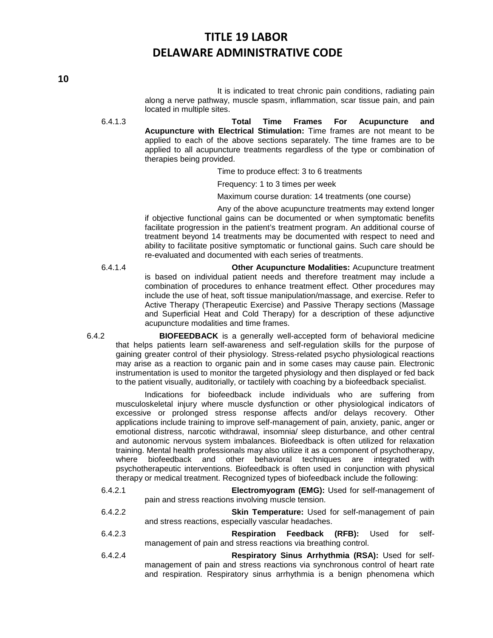It is indicated to treat chronic pain conditions, radiating pain along a nerve pathway, muscle spasm, inflammation, scar tissue pain, and pain located in multiple sites.

6.4.1.3 **Total Time Frames For Acupuncture and Acupuncture with Electrical Stimulation:** Time frames are not meant to be applied to each of the above sections separately. The time frames are to be applied to all acupuncture treatments regardless of the type or combination of therapies being provided.

Time to produce effect: 3 to 6 treatments

Frequency: 1 to 3 times per week

Maximum course duration: 14 treatments (one course)

Any of the above acupuncture treatments may extend longer if objective functional gains can be documented or when symptomatic benefits facilitate progression in the patient's treatment program. An additional course of treatment beyond 14 treatments may be documented with respect to need and ability to facilitate positive symptomatic or functional gains. Such care should be re-evaluated and documented with each series of treatments.

6.4.1.4 **Other Acupuncture Modalities:** Acupuncture treatment is based on individual patient needs and therefore treatment may include a combination of procedures to enhance treatment effect. Other procedures may include the use of heat, soft tissue manipulation/massage, and exercise. Refer to Active Therapy (Therapeutic Exercise) and Passive Therapy sections (Massage and Superficial Heat and Cold Therapy) for a description of these adjunctive acupuncture modalities and time frames.

6.4.2 **BIOFEEDBACK** is a generally well-accepted form of behavioral medicine that helps patients learn self-awareness and self-regulation skills for the purpose of gaining greater control of their physiology. Stress-related psycho physiological reactions may arise as a reaction to organic pain and in some cases may cause pain. Electronic instrumentation is used to monitor the targeted physiology and then displayed or fed back to the patient visually, auditorially, or tactilely with coaching by a biofeedback specialist.

Indications for biofeedback include individuals who are suffering from musculoskeletal injury where muscle dysfunction or other physiological indicators of excessive or prolonged stress response affects and/or delays recovery. Other applications include training to improve self-management of pain, anxiety, panic, anger or emotional distress, narcotic withdrawal, insomnia/ sleep disturbance, and other central and autonomic nervous system imbalances. Biofeedback is often utilized for relaxation training. Mental health professionals may also utilize it as a component of psychotherapy, where biofeedback and other behavioral techniques are integrated with psychotherapeutic interventions. Biofeedback is often used in conjunction with physical therapy or medical treatment. Recognized types of biofeedback include the following:

- 6.4.2.1 **Electromyogram (EMG):** Used for self-management of pain and stress reactions involving muscle tension.
- 6.4.2.2 **Skin Temperature:** Used for self-management of pain and stress reactions, especially vascular headaches.
- 6.4.2.3 **Respiration Feedback (RFB):** Used for selfmanagement of pain and stress reactions via breathing control.
- 6.4.2.4 **Respiratory Sinus Arrhythmia (RSA):** Used for selfmanagement of pain and stress reactions via synchronous control of heart rate and respiration. Respiratory sinus arrhythmia is a benign phenomena which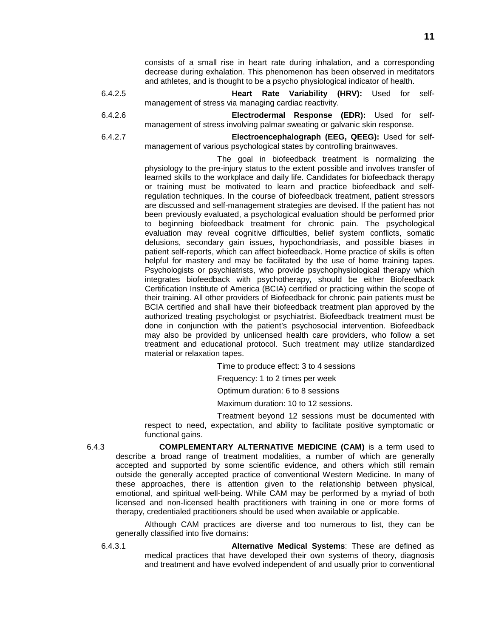consists of a small rise in heart rate during inhalation, and a corresponding decrease during exhalation. This phenomenon has been observed in meditators and athletes, and is thought to be a psycho physiological indicator of health.

- 6.4.2.5 **Heart Rate Variability (HRV):** Used for selfmanagement of stress via managing cardiac reactivity.
- 6.4.2.6 **Electrodermal Response (EDR):** Used for selfmanagement of stress involving palmar sweating or galvanic skin response.
- 6.4.2.7 **Electroencephalograph (EEG, QEEG):** Used for selfmanagement of various psychological states by controlling brainwaves.

The goal in biofeedback treatment is normalizing the physiology to the pre-injury status to the extent possible and involves transfer of learned skills to the workplace and daily life. Candidates for biofeedback therapy or training must be motivated to learn and practice biofeedback and selfregulation techniques. In the course of biofeedback treatment, patient stressors are discussed and self-management strategies are devised. If the patient has not been previously evaluated, a psychological evaluation should be performed prior to beginning biofeedback treatment for chronic pain. The psychological evaluation may reveal cognitive difficulties, belief system conflicts, somatic delusions, secondary gain issues, hypochondriasis, and possible biases in patient self-reports, which can affect biofeedback. Home practice of skills is often helpful for mastery and may be facilitated by the use of home training tapes. Psychologists or psychiatrists, who provide psychophysiological therapy which integrates biofeedback with psychotherapy, should be either Biofeedback Certification Institute of America (BCIA) certified or practicing within the scope of their training. All other providers of Biofeedback for chronic pain patients must be BCIA certified and shall have their biofeedback treatment plan approved by the authorized treating psychologist or psychiatrist. Biofeedback treatment must be done in conjunction with the patient's psychosocial intervention. Biofeedback may also be provided by unlicensed health care providers, who follow a set treatment and educational protocol. Such treatment may utilize standardized material or relaxation tapes.

Time to produce effect: 3 to 4 sessions

Frequency: 1 to 2 times per week

Optimum duration: 6 to 8 sessions

Maximum duration: 10 to 12 sessions.

Treatment beyond 12 sessions must be documented with respect to need, expectation, and ability to facilitate positive symptomatic or functional gains.

6.4.3 **COMPLEMENTARY ALTERNATIVE MEDICINE (CAM)** is a term used to describe a broad range of treatment modalities, a number of which are generally accepted and supported by some scientific evidence, and others which still remain outside the generally accepted practice of conventional Western Medicine. In many of these approaches, there is attention given to the relationship between physical, emotional, and spiritual well-being. While CAM may be performed by a myriad of both licensed and non-licensed health practitioners with training in one or more forms of therapy, credentialed practitioners should be used when available or applicable.

Although CAM practices are diverse and too numerous to list, they can be generally classified into five domains:

6.4.3.1 **Alternative Medical Systems**: These are defined as medical practices that have developed their own systems of theory, diagnosis and treatment and have evolved independent of and usually prior to conventional

**11**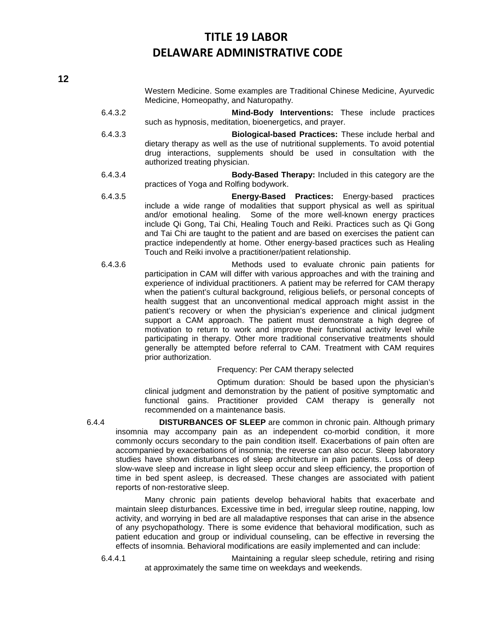Western Medicine. Some examples are Traditional Chinese Medicine, Ayurvedic Medicine, Homeopathy, and Naturopathy.

- 6.4.3.2 **Mind-Body Interventions:** These include practices such as hypnosis, meditation, bioenergetics, and prayer.
- 6.4.3.3 **Biological-based Practices:** These include herbal and dietary therapy as well as the use of nutritional supplements. To avoid potential drug interactions, supplements should be used in consultation with the authorized treating physician.
- 6.4.3.4 **Body-Based Therapy:** Included in this category are the practices of Yoga and Rolfing bodywork.
- 6.4.3.5 **Energy-Based Practices:** Energy-based practices include a wide range of modalities that support physical as well as spiritual and/or emotional healing. Some of the more well-known energy practices include Qi Gong, Tai Chi, Healing Touch and Reiki. Practices such as Qi Gong and Tai Chi are taught to the patient and are based on exercises the patient can practice independently at home. Other energy-based practices such as Healing Touch and Reiki involve a practitioner/patient relationship.
- 6.4.3.6 Methods used to evaluate chronic pain patients for participation in CAM will differ with various approaches and with the training and experience of individual practitioners. A patient may be referred for CAM therapy when the patient's cultural background, religious beliefs, or personal concepts of health suggest that an unconventional medical approach might assist in the patient's recovery or when the physician's experience and clinical judgment support a CAM approach. The patient must demonstrate a high degree of motivation to return to work and improve their functional activity level while participating in therapy. Other more traditional conservative treatments should generally be attempted before referral to CAM. Treatment with CAM requires prior authorization.

#### Frequency: Per CAM therapy selected

Optimum duration: Should be based upon the physician's clinical judgment and demonstration by the patient of positive symptomatic and functional gains. Practitioner provided CAM therapy is generally not recommended on a maintenance basis.

6.4.4 **DISTURBANCES OF SLEEP** are common in chronic pain. Although primary insomnia may accompany pain as an independent co-morbid condition, it more commonly occurs secondary to the pain condition itself. Exacerbations of pain often are accompanied by exacerbations of insomnia; the reverse can also occur. Sleep laboratory studies have shown disturbances of sleep architecture in pain patients. Loss of deep slow-wave sleep and increase in light sleep occur and sleep efficiency, the proportion of time in bed spent asleep, is decreased. These changes are associated with patient reports of non-restorative sleep.

Many chronic pain patients develop behavioral habits that exacerbate and maintain sleep disturbances. Excessive time in bed, irregular sleep routine, napping, low activity, and worrying in bed are all maladaptive responses that can arise in the absence of any psychopathology. There is some evidence that behavioral modification, such as patient education and group or individual counseling, can be effective in reversing the effects of insomnia. Behavioral modifications are easily implemented and can include:

6.4.4.1 Maintaining a regular sleep schedule, retiring and rising at approximately the same time on weekdays and weekends.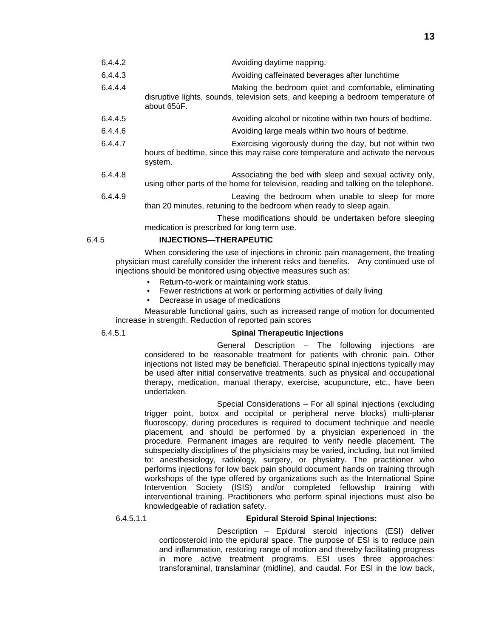| 6.4.4.2 | Avoiding daytime napping.                                                                                                                                |
|---------|----------------------------------------------------------------------------------------------------------------------------------------------------------|
| 6.4.4.3 | Avoiding caffeinated beverages after lunchtime                                                                                                           |
| 6.4.4.4 | Making the bedroom quiet and comfortable, eliminating<br>disruptive lights, sounds, television sets, and keeping a bedroom temperature of<br>about 65ûF. |
| 6.4.4.5 | Avoiding alcohol or nicotine within two hours of bedtime.                                                                                                |
| 6.4.4.6 | Avoiding large meals within two hours of bedtime.                                                                                                        |
| 6.4.4.7 | Exercising vigorously during the day, but not within two<br>hours of bedtime, since this may raise core temperature and activate the nervous<br>system.  |
| 6.4.4.8 | Associating the bed with sleep and sexual activity only,<br>using other parts of the home for television, reading and talking on the telephone.          |
| 6.4.4.9 | Leaving the bedroom when unable to sleep for more<br>than 20 minutes, retuning to the bedroom when ready to sleep again.                                 |
|         | These modifications abould be undertaken before algoning.                                                                                                |

These modifications should be undertaken before sleeping medication is prescribed for long term use.

### 6.4.5 **INJECTIONS—THERAPEUTIC**

When considering the use of injections in chronic pain management, the treating physician must carefully consider the inherent risks and benefits. Any continued use of injections should be monitored using objective measures such as:

- Return-to-work or maintaining work status.
- Fewer restrictions at work or performing activities of daily living
- Decrease in usage of medications

Measurable functional gains, such as increased range of motion for documented increase in strength. Reduction of reported pain scores

### 6.4.5.1 **Spinal Therapeutic Injections**

General Description – The following injections are considered to be reasonable treatment for patients with chronic pain. Other injections not listed may be beneficial. Therapeutic spinal injections typically may be used after initial conservative treatments, such as physical and occupational therapy, medication, manual therapy, exercise, acupuncture, etc., have been undertaken.

Special Considerations – For all spinal injections (excluding trigger point, botox and occipital or peripheral nerve blocks) multi-planar fluoroscopy, during procedures is required to document technique and needle placement, and should be performed by a physician experienced in the procedure. Permanent images are required to verify needle placement. The subspecialty disciplines of the physicians may be varied, including, but not limited to: anesthesiology, radiology, surgery, or physiatry. The practitioner who performs injections for low back pain should document hands on training through workshops of the type offered by organizations such as the International Spine Intervention Society (ISIS) and/or completed fellowship training with interventional training. Practitioners who perform spinal injections must also be knowledgeable of radiation safety.

### 6.4.5.1.1 **Epidural Steroid Spinal Injections:**

Description – Epidural steroid injections (ESI) deliver corticosteroid into the epidural space. The purpose of ESI is to reduce pain and inflammation, restoring range of motion and thereby facilitating progress in more active treatment programs. ESI uses three approaches: transforaminal, translaminar (midline), and caudal. For ESI in the low back,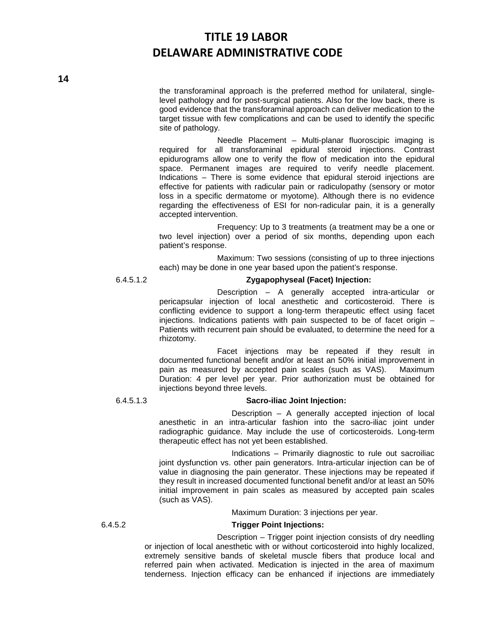the transforaminal approach is the preferred method for unilateral, singlelevel pathology and for post-surgical patients. Also for the low back, there is good evidence that the transforaminal approach can deliver medication to the target tissue with few complications and can be used to identify the specific site of pathology.

Needle Placement – Multi-planar fluoroscipic imaging is required for all transforaminal epidural steroid injections. Contrast epidurograms allow one to verify the flow of medication into the epidural space. Permanent images are required to verify needle placement. Indications – There is some evidence that epidural steroid injections are effective for patients with radicular pain or radiculopathy (sensory or motor loss in a specific dermatome or myotome). Although there is no evidence regarding the effectiveness of ESI for non-radicular pain, it is a generally accepted intervention.

Frequency: Up to 3 treatments (a treatment may be a one or two level injection) over a period of six months, depending upon each patient's response.

Maximum: Two sessions (consisting of up to three injections each) may be done in one year based upon the patient's response.

### 6.4.5.1.2 **Zygapophyseal (Facet) Injection:**

Description – A generally accepted intra-articular or pericapsular injection of local anesthetic and corticosteroid. There is conflicting evidence to support a long-term therapeutic effect using facet injections. Indications patients with pain suspected to be of facet origin – Patients with recurrent pain should be evaluated, to determine the need for a rhizotomy.

Facet injections may be repeated if they result in documented functional benefit and/or at least an 50% initial improvement in pain as measured by accepted pain scales (such as VAS). Maximum Duration: 4 per level per year. Prior authorization must be obtained for injections beyond three levels.

#### 6.4.5.1.3 **Sacro-iliac Joint Injection:**

Description – A generally accepted injection of local anesthetic in an intra-articular fashion into the sacro-iliac joint under radiographic guidance. May include the use of corticosteroids. Long-term therapeutic effect has not yet been established.

Indications – Primarily diagnostic to rule out sacroiliac joint dysfunction vs. other pain generators. Intra-articular injection can be of value in diagnosing the pain generator. These injections may be repeated if they result in increased documented functional benefit and/or at least an 50% initial improvement in pain scales as measured by accepted pain scales (such as VAS).

Maximum Duration: 3 injections per year.

#### 6.4.5.2 **Trigger Point Injections:**

Description – Trigger point injection consists of dry needling or injection of local anesthetic with or without corticosteroid into highly localized, extremely sensitive bands of skeletal muscle fibers that produce local and referred pain when activated. Medication is injected in the area of maximum tenderness. Injection efficacy can be enhanced if injections are immediately

**14**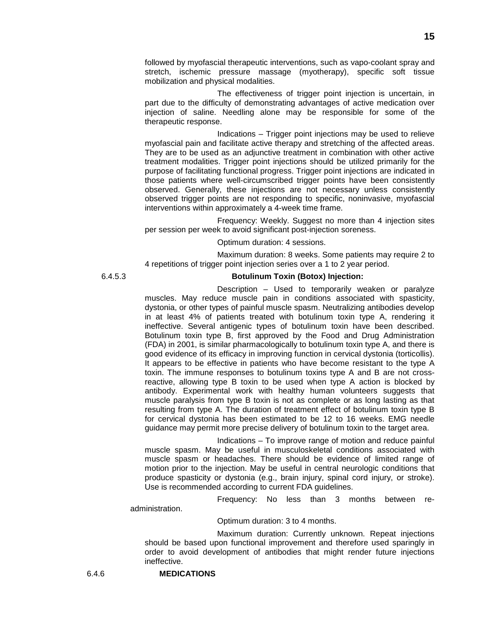followed by myofascial therapeutic interventions, such as vapo-coolant spray and stretch, ischemic pressure massage (myotherapy), specific soft tissue mobilization and physical modalities.

The effectiveness of trigger point injection is uncertain, in part due to the difficulty of demonstrating advantages of active medication over injection of saline. Needling alone may be responsible for some of the therapeutic response.

Indications – Trigger point injections may be used to relieve myofascial pain and facilitate active therapy and stretching of the affected areas. They are to be used as an adjunctive treatment in combination with other active treatment modalities. Trigger point injections should be utilized primarily for the purpose of facilitating functional progress. Trigger point injections are indicated in those patients where well-circumscribed trigger points have been consistently observed. Generally, these injections are not necessary unless consistently observed trigger points are not responding to specific, noninvasive, myofascial interventions within approximately a 4-week time frame.

Frequency: Weekly. Suggest no more than 4 injection sites per session per week to avoid significant post-injection soreness.

#### Optimum duration: 4 sessions.

Maximum duration: 8 weeks. Some patients may require 2 to 4 repetitions of trigger point injection series over a 1 to 2 year period.

#### 6.4.5.3 **Botulinum Toxin (Botox) Injection:**

Description – Used to temporarily weaken or paralyze muscles. May reduce muscle pain in conditions associated with spasticity, dystonia, or other types of painful muscle spasm. Neutralizing antibodies develop in at least 4% of patients treated with botulinum toxin type A, rendering it ineffective. Several antigenic types of botulinum toxin have been described. Botulinum toxin type B, first approved by the Food and Drug Administration (FDA) in 2001, is similar pharmacologically to botulinum toxin type A, and there is good evidence of its efficacy in improving function in cervical dystonia (torticollis). It appears to be effective in patients who have become resistant to the type A toxin. The immune responses to botulinum toxins type A and B are not crossreactive, allowing type B toxin to be used when type A action is blocked by antibody. Experimental work with healthy human volunteers suggests that muscle paralysis from type B toxin is not as complete or as long lasting as that resulting from type A. The duration of treatment effect of botulinum toxin type B for cervical dystonia has been estimated to be 12 to 16 weeks. EMG needle guidance may permit more precise delivery of botulinum toxin to the target area.

Indications – To improve range of motion and reduce painful muscle spasm. May be useful in musculoskeletal conditions associated with muscle spasm or headaches. There should be evidence of limited range of motion prior to the injection. May be useful in central neurologic conditions that produce spasticity or dystonia (e.g., brain injury, spinal cord injury, or stroke). Use is recommended according to current FDA guidelines.

Frequency: No less than 3 months between re-

administration.

Optimum duration: 3 to 4 months.

Maximum duration: Currently unknown. Repeat injections should be based upon functional improvement and therefore used sparingly in order to avoid development of antibodies that might render future injections ineffective.

6.4.6 **MEDICATIONS**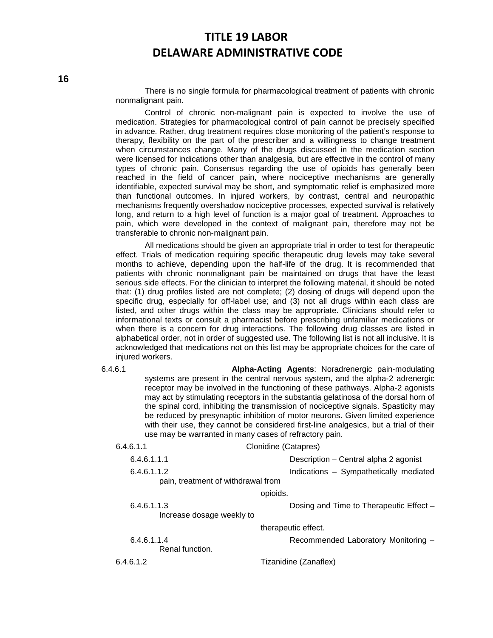There is no single formula for pharmacological treatment of patients with chronic nonmalignant pain.

Control of chronic non-malignant pain is expected to involve the use of medication. Strategies for pharmacological control of pain cannot be precisely specified in advance. Rather, drug treatment requires close monitoring of the patient's response to therapy, flexibility on the part of the prescriber and a willingness to change treatment when circumstances change. Many of the drugs discussed in the medication section were licensed for indications other than analgesia, but are effective in the control of many types of chronic pain. Consensus regarding the use of opioids has generally been reached in the field of cancer pain, where nociceptive mechanisms are generally identifiable, expected survival may be short, and symptomatic relief is emphasized more than functional outcomes. In injured workers, by contrast, central and neuropathic mechanisms frequently overshadow nociceptive processes, expected survival is relatively long, and return to a high level of function is a major goal of treatment. Approaches to pain, which were developed in the context of malignant pain, therefore may not be transferable to chronic non-malignant pain.

All medications should be given an appropriate trial in order to test for therapeutic effect. Trials of medication requiring specific therapeutic drug levels may take several months to achieve, depending upon the half-life of the drug. It is recommended that patients with chronic nonmalignant pain be maintained on drugs that have the least serious side effects. For the clinician to interpret the following material, it should be noted that: (1) drug profiles listed are not complete; (2) dosing of drugs will depend upon the specific drug, especially for off-label use; and (3) not all drugs within each class are listed, and other drugs within the class may be appropriate. Clinicians should refer to informational texts or consult a pharmacist before prescribing unfamiliar medications or when there is a concern for drug interactions. The following drug classes are listed in alphabetical order, not in order of suggested use. The following list is not all inclusive. It is acknowledged that medications not on this list may be appropriate choices for the care of injured workers.

6.4.6.1 **Alpha-Acting Agents**: Noradrenergic pain-modulating systems are present in the central nervous system, and the alpha-2 adrenergic receptor may be involved in the functioning of these pathways. Alpha-2 agonists may act by stimulating receptors in the substantia gelatinosa of the dorsal horn of the spinal cord, inhibiting the transmission of nociceptive signals. Spasticity may be reduced by presynaptic inhibition of motor neurons. Given limited experience with their use, they cannot be considered first-line analgesics, but a trial of their use may be warranted in many cases of refractory pain.

| 6.4.6.1.1                                | Clonidine (Catapres)                    |
|------------------------------------------|-----------------------------------------|
| 6.4.6.1.1.1                              | Description - Central alpha 2 agonist   |
| 6.4.6.1.1.2                              | Indications - Sympathetically mediated  |
| pain, treatment of withdrawal from       |                                         |
|                                          | opioids.                                |
| 6.4.6.1.1.3<br>Increase dosage weekly to | Dosing and Time to Therapeutic Effect - |
|                                          | therapeutic effect.                     |
| 6.4.6.1.1.4<br>Renal function.           | Recommended Laboratory Monitoring -     |
| 6.4.6.1.2                                | Tizanidine (Zanaflex)                   |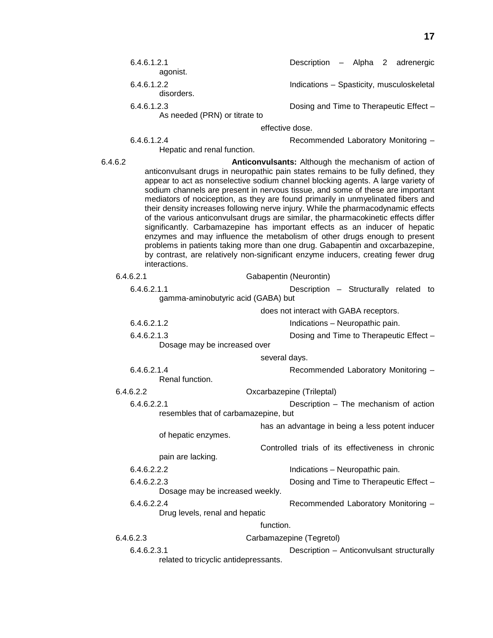|         | 6.4.6.1.2.1<br>agonist.                                                                                                                                                                                                                                                                                                                                                                                                                                                                                                                                                                                                                                                                                                                                                                                                                                                                                                           |                 | Description - Alpha 2 adrenergic                  |  |  |
|---------|-----------------------------------------------------------------------------------------------------------------------------------------------------------------------------------------------------------------------------------------------------------------------------------------------------------------------------------------------------------------------------------------------------------------------------------------------------------------------------------------------------------------------------------------------------------------------------------------------------------------------------------------------------------------------------------------------------------------------------------------------------------------------------------------------------------------------------------------------------------------------------------------------------------------------------------|-----------------|---------------------------------------------------|--|--|
|         | 6.4.6.1.2.2<br>disorders.                                                                                                                                                                                                                                                                                                                                                                                                                                                                                                                                                                                                                                                                                                                                                                                                                                                                                                         |                 | Indications - Spasticity, musculoskeletal         |  |  |
|         | 6.4.6.1.2.3<br>As needed (PRN) or titrate to                                                                                                                                                                                                                                                                                                                                                                                                                                                                                                                                                                                                                                                                                                                                                                                                                                                                                      |                 | Dosing and Time to Therapeutic Effect -           |  |  |
|         |                                                                                                                                                                                                                                                                                                                                                                                                                                                                                                                                                                                                                                                                                                                                                                                                                                                                                                                                   | effective dose. |                                                   |  |  |
|         | 6.4.6.1.2.4<br>Hepatic and renal function.                                                                                                                                                                                                                                                                                                                                                                                                                                                                                                                                                                                                                                                                                                                                                                                                                                                                                        |                 | Recommended Laboratory Monitoring -               |  |  |
| 6.4.6.2 | Anticonvulsants: Although the mechanism of action of<br>anticonvulsant drugs in neuropathic pain states remains to be fully defined, they<br>appear to act as nonselective sodium channel blocking agents. A large variety of<br>sodium channels are present in nervous tissue, and some of these are important<br>mediators of nociception, as they are found primarily in unmyelinated fibers and<br>their density increases following nerve injury. While the pharmacodynamic effects<br>of the various anticonvulsant drugs are similar, the pharmacokinetic effects differ<br>significantly. Carbamazepine has important effects as an inducer of hepatic<br>enzymes and may influence the metabolism of other drugs enough to present<br>problems in patients taking more than one drug. Gabapentin and oxcarbazepine,<br>by contrast, are relatively non-significant enzyme inducers, creating fewer drug<br>interactions. |                 |                                                   |  |  |
|         | 6.4.6.2.1                                                                                                                                                                                                                                                                                                                                                                                                                                                                                                                                                                                                                                                                                                                                                                                                                                                                                                                         |                 | Gabapentin (Neurontin)                            |  |  |
|         | 6.4.6.2.1.1<br>gamma-aminobutyric acid (GABA) but                                                                                                                                                                                                                                                                                                                                                                                                                                                                                                                                                                                                                                                                                                                                                                                                                                                                                 |                 | Description - Structurally related to             |  |  |
|         |                                                                                                                                                                                                                                                                                                                                                                                                                                                                                                                                                                                                                                                                                                                                                                                                                                                                                                                                   |                 | does not interact with GABA receptors.            |  |  |
|         | 6.4.6.2.1.2                                                                                                                                                                                                                                                                                                                                                                                                                                                                                                                                                                                                                                                                                                                                                                                                                                                                                                                       |                 | Indications - Neuropathic pain.                   |  |  |
|         | 6.4.6.2.1.3<br>Dosage may be increased over                                                                                                                                                                                                                                                                                                                                                                                                                                                                                                                                                                                                                                                                                                                                                                                                                                                                                       |                 | Dosing and Time to Therapeutic Effect -           |  |  |
|         |                                                                                                                                                                                                                                                                                                                                                                                                                                                                                                                                                                                                                                                                                                                                                                                                                                                                                                                                   | several days.   |                                                   |  |  |
|         | 6.4.6.2.1.4<br>Renal function.                                                                                                                                                                                                                                                                                                                                                                                                                                                                                                                                                                                                                                                                                                                                                                                                                                                                                                    |                 | Recommended Laboratory Monitoring -               |  |  |
|         | 6.4.6.2.2                                                                                                                                                                                                                                                                                                                                                                                                                                                                                                                                                                                                                                                                                                                                                                                                                                                                                                                         |                 | Oxcarbazepine (Trileptal)                         |  |  |
|         | 6.4.6.2.2.1                                                                                                                                                                                                                                                                                                                                                                                                                                                                                                                                                                                                                                                                                                                                                                                                                                                                                                                       |                 | Description - The mechanism of action             |  |  |
|         | resembles that of carbamazepine, but                                                                                                                                                                                                                                                                                                                                                                                                                                                                                                                                                                                                                                                                                                                                                                                                                                                                                              |                 |                                                   |  |  |
|         | of hepatic enzymes.                                                                                                                                                                                                                                                                                                                                                                                                                                                                                                                                                                                                                                                                                                                                                                                                                                                                                                               |                 | has an advantage in being a less potent inducer   |  |  |
|         | pain are lacking.                                                                                                                                                                                                                                                                                                                                                                                                                                                                                                                                                                                                                                                                                                                                                                                                                                                                                                                 |                 | Controlled trials of its effectiveness in chronic |  |  |
|         | 6.4.6.2.2.2                                                                                                                                                                                                                                                                                                                                                                                                                                                                                                                                                                                                                                                                                                                                                                                                                                                                                                                       |                 | Indications - Neuropathic pain.                   |  |  |
|         | 6.4.6.2.2.3<br>Dosage may be increased weekly.                                                                                                                                                                                                                                                                                                                                                                                                                                                                                                                                                                                                                                                                                                                                                                                                                                                                                    |                 | Dosing and Time to Therapeutic Effect -           |  |  |
|         | 6.4.6.2.2.4<br>Drug levels, renal and hepatic                                                                                                                                                                                                                                                                                                                                                                                                                                                                                                                                                                                                                                                                                                                                                                                                                                                                                     |                 | Recommended Laboratory Monitoring -               |  |  |
|         |                                                                                                                                                                                                                                                                                                                                                                                                                                                                                                                                                                                                                                                                                                                                                                                                                                                                                                                                   | function.       |                                                   |  |  |
|         | 6.4.6.2.3                                                                                                                                                                                                                                                                                                                                                                                                                                                                                                                                                                                                                                                                                                                                                                                                                                                                                                                         |                 | Carbamazepine (Tegretol)                          |  |  |
|         | 6.4.6.2.3.1                                                                                                                                                                                                                                                                                                                                                                                                                                                                                                                                                                                                                                                                                                                                                                                                                                                                                                                       |                 | Description - Anticonvulsant structurally         |  |  |
|         | related to tricyclic antidepressants.                                                                                                                                                                                                                                                                                                                                                                                                                                                                                                                                                                                                                                                                                                                                                                                                                                                                                             |                 |                                                   |  |  |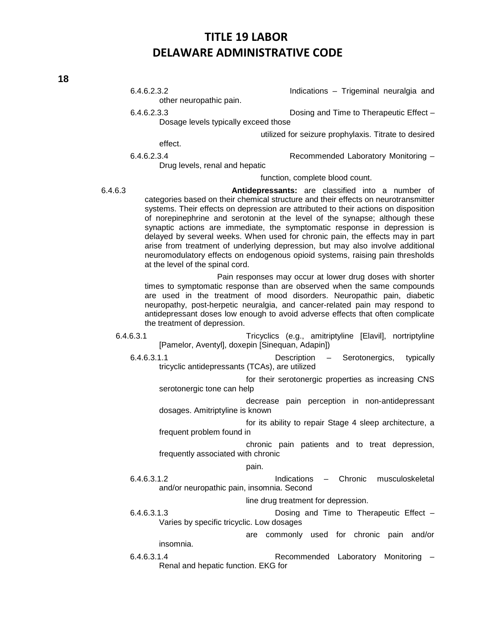**18**

|           | 6.4.6.2.3.2<br>other neuropathic pain.                        | Indications - Trigeminal neuralgia and                                                                                                                                                                                                                                                                                                                                                                                                                                                                                                                                                                                                        |
|-----------|---------------------------------------------------------------|-----------------------------------------------------------------------------------------------------------------------------------------------------------------------------------------------------------------------------------------------------------------------------------------------------------------------------------------------------------------------------------------------------------------------------------------------------------------------------------------------------------------------------------------------------------------------------------------------------------------------------------------------|
|           | 6.4.6.2.3.3<br>Dosage levels typically exceed those           | Dosing and Time to Therapeutic Effect -                                                                                                                                                                                                                                                                                                                                                                                                                                                                                                                                                                                                       |
|           |                                                               |                                                                                                                                                                                                                                                                                                                                                                                                                                                                                                                                                                                                                                               |
|           | effect.                                                       | utilized for seizure prophylaxis. Titrate to desired                                                                                                                                                                                                                                                                                                                                                                                                                                                                                                                                                                                          |
|           | 6.4.6.2.3.4<br>Drug levels, renal and hepatic                 | Recommended Laboratory Monitoring -                                                                                                                                                                                                                                                                                                                                                                                                                                                                                                                                                                                                           |
|           |                                                               | function, complete blood count.                                                                                                                                                                                                                                                                                                                                                                                                                                                                                                                                                                                                               |
| 6.4.6.3   | at the level of the spinal cord.                              | Antidepressants: are classified into a number of<br>categories based on their chemical structure and their effects on neurotransmitter<br>systems. Their effects on depression are attributed to their actions on disposition<br>of norepinephrine and serotonin at the level of the synapse; although these<br>synaptic actions are immediate, the symptomatic response in depression is<br>delayed by several weeks. When used for chronic pain, the effects may in part<br>arise from treatment of underlying depression, but may also involve additional<br>neuromodulatory effects on endogenous opioid systems, raising pain thresholds |
|           | the treatment of depression.                                  | Pain responses may occur at lower drug doses with shorter<br>times to symptomatic response than are observed when the same compounds<br>are used in the treatment of mood disorders. Neuropathic pain, diabetic<br>neuropathy, post-herpetic neuralgia, and cancer-related pain may respond to<br>antidepressant doses low enough to avoid adverse effects that often complicate                                                                                                                                                                                                                                                              |
| 6.4.6.3.1 | [Pamelor, Aventyl], doxepin [Sinequan, Adapin])               | Tricyclics (e.g., amitriptyline [Elavil], nortriptyline                                                                                                                                                                                                                                                                                                                                                                                                                                                                                                                                                                                       |
|           | 6.4.6.3.1.1<br>tricyclic antidepressants (TCAs), are utilized | typically<br>Serotonergics,<br>Description –                                                                                                                                                                                                                                                                                                                                                                                                                                                                                                                                                                                                  |
|           | serotonergic tone can help                                    | for their serotonergic properties as increasing CNS                                                                                                                                                                                                                                                                                                                                                                                                                                                                                                                                                                                           |
|           | dosages. Amitriptyline is known                               | decrease pain perception in non-antidepressant                                                                                                                                                                                                                                                                                                                                                                                                                                                                                                                                                                                                |
|           |                                                               | for its ability to repair Stage 4 sleep architecture, a                                                                                                                                                                                                                                                                                                                                                                                                                                                                                                                                                                                       |
|           | frequent problem found in                                     |                                                                                                                                                                                                                                                                                                                                                                                                                                                                                                                                                                                                                                               |
|           | frequently associated with chronic                            | chronic pain patients and to treat depression,                                                                                                                                                                                                                                                                                                                                                                                                                                                                                                                                                                                                |
|           | pain.                                                         |                                                                                                                                                                                                                                                                                                                                                                                                                                                                                                                                                                                                                                               |
|           | 6.4.6.3.1.2<br>and/or neuropathic pain, insomnia. Second      | Indications - Chronic<br>musculoskeletal                                                                                                                                                                                                                                                                                                                                                                                                                                                                                                                                                                                                      |
|           |                                                               | line drug treatment for depression.                                                                                                                                                                                                                                                                                                                                                                                                                                                                                                                                                                                                           |
|           | 6.4.6.3.1.3                                                   | Dosing and Time to Therapeutic Effect -                                                                                                                                                                                                                                                                                                                                                                                                                                                                                                                                                                                                       |
|           | Varies by specific tricyclic. Low dosages                     |                                                                                                                                                                                                                                                                                                                                                                                                                                                                                                                                                                                                                                               |
|           | insomnia.                                                     | are commonly used for chronic pain and/or                                                                                                                                                                                                                                                                                                                                                                                                                                                                                                                                                                                                     |
|           | $C$ $A$ $C$ $D$ $A$ $A$                                       | Recommended Loberatory Menitorias                                                                                                                                                                                                                                                                                                                                                                                                                                                                                                                                                                                                             |

6.4.6.3.1.4 Recommended Laboratory Monitoring – Renal and hepatic function. EKG for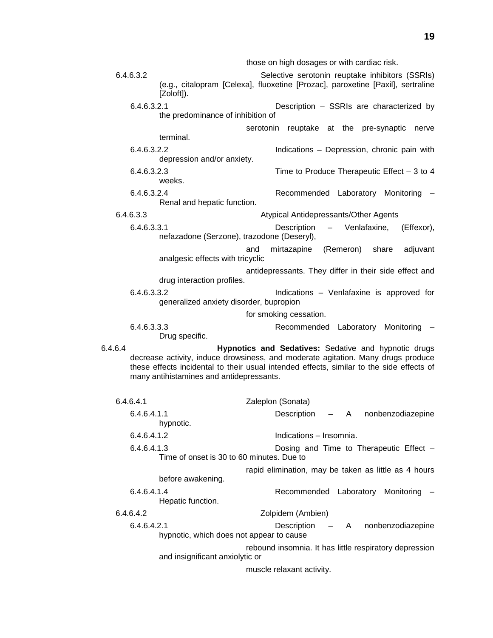those on high dosages or with cardiac risk. 6.4.6.3.2 Selective serotonin reuptake inhibitors (SSRIs) (e.g., citalopram [Celexa], fluoxetine [Prozac], paroxetine [Paxil], sertraline [Zoloft]). 6.4.6.3.2.1 Description – SSRIs are characterized by the predominance of inhibition of serotonin reuptake at the pre-synaptic nerve terminal. 6.4.6.3.2.2 Indications – Depression, chronic pain with depression and/or anxiety. 6.4.6.3.2.3 Time to Produce Therapeutic Effect – 3 to 4 weeks. 6.4.6.3.2.4 Recommended Laboratory Monitoring – Renal and hepatic function. 6.4.6.3.3 Atypical Antidepressants/Other Agents 6.4.6.3.3.1 Description – Venlafaxine, (Effexor), nefazadone (Serzone), trazodone (Deseryl), and mirtazapine (Remeron) share adjuvant analgesic effects with tricyclic antidepressants. They differ in their side effect and drug interaction profiles. 6.4.6.3.3.2 Indications – Venlafaxine is approved for generalized anxiety disorder, bupropion for smoking cessation. 6.4.6.3.3.3 Recommended Laboratory Monitoring – Drug specific. 6.4.6.4 **Hypnotics and Sedatives:** Sedative and hypnotic drugs decrease activity, induce drowsiness, and moderate agitation. Many drugs produce these effects incidental to their usual intended effects, similar to the side effects of many antihistamines and antidepressants. 6.4.6.4.1 Zaleplon (Sonata) 6.4.6.4.1.1 Description – A nonbenzodiazepine hypnotic. 6.4.6.4.1.2 Indications – Insomnia. 6.4.6.4.1.3 Dosing and Time to Therapeutic Effect – Time of onset is 30 to 60 minutes. Due to rapid elimination, may be taken as little as 4 hours before awakening. 6.4.6.4.1.4 Recommended Laboratory Monitoring – Hepatic function. 6.4.6.4.2 Zolpidem (Ambien) 6.4.6.4.2.1 Description – A nonbenzodiazepine hypnotic, which does not appear to cause rebound insomnia. It has little respiratory depression and insignificant anxiolytic or

muscle relaxant activity.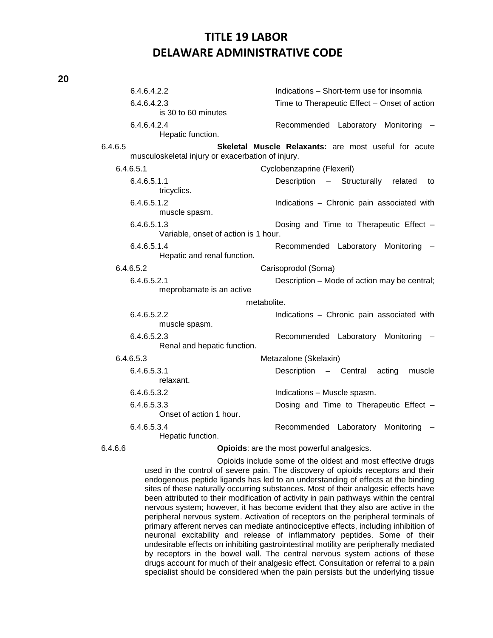| v. |    |
|----|----|
|    | I  |
|    | ۰, |

|         | 6.4.6.4.2.2                                         | Indications - Short-term use for insomnia            |
|---------|-----------------------------------------------------|------------------------------------------------------|
|         | 6.4.6.4.2.3<br>is 30 to 60 minutes                  | Time to Therapeutic Effect - Onset of action         |
|         | 6.4.6.4.2.4<br>Hepatic function.                    | Recommended Laboratory Monitoring                    |
| 6.4.6.5 | musculoskeletal injury or exacerbation of injury.   | Skeletal Muscle Relaxants: are most useful for acute |
|         | 6.4.6.5.1                                           | Cyclobenzaprine (Flexeril)                           |
|         | 6.4.6.5.1.1<br>tricyclics.                          | Description - Structurally<br>related<br>to          |
|         | 6.4.6.5.1.2<br>muscle spasm.                        | Indications - Chronic pain associated with           |
|         | 6.4.6.5.1.3<br>Variable, onset of action is 1 hour. | Dosing and Time to Therapeutic Effect -              |
|         | 6.4.6.5.1.4<br>Hepatic and renal function.          | Recommended Laboratory Monitoring                    |
|         | 6.4.6.5.2                                           | Carisoprodol (Soma)                                  |
|         | 6.4.6.5.2.1<br>meprobamate is an active             | Description – Mode of action may be central;         |
|         | metabolite.                                         |                                                      |
|         | 6.4.6.5.2.2<br>muscle spasm.                        | Indications - Chronic pain associated with           |
|         | 6.4.6.5.2.3<br>Renal and hepatic function.          | Recommended Laboratory Monitoring                    |
|         | 6.4.6.5.3                                           | Metazalone (Skelaxin)                                |
|         | 6.4.6.5.3.1<br>relaxant.                            | Description - Central<br>acting<br>muscle            |
|         | 6.4.6.5.3.2                                         | Indications - Muscle spasm.                          |
|         | 6.4.6.5.3.3<br>Onset of action 1 hour.              | Dosing and Time to Therapeutic Effect -              |
|         | 6.4.6.5.3.4<br>Hepatic function.                    | Recommended Laboratory<br>Monitoring                 |
| 6.4.6.6 |                                                     | Opioids: are the most powerful analgesics.           |

Opioids include some of the oldest and most effective drugs used in the control of severe pain. The discovery of opioids receptors and their endogenous peptide ligands has led to an understanding of effects at the binding sites of these naturally occurring substances. Most of their analgesic effects have been attributed to their modification of activity in pain pathways within the central nervous system; however, it has become evident that they also are active in the peripheral nervous system. Activation of receptors on the peripheral terminals of primary afferent nerves can mediate antinociceptive effects, including inhibition of neuronal excitability and release of inflammatory peptides. Some of their undesirable effects on inhibiting gastrointestinal motility are peripherally mediated by receptors in the bowel wall. The central nervous system actions of these drugs account for much of their analgesic effect. Consultation or referral to a pain specialist should be considered when the pain persists but the underlying tissue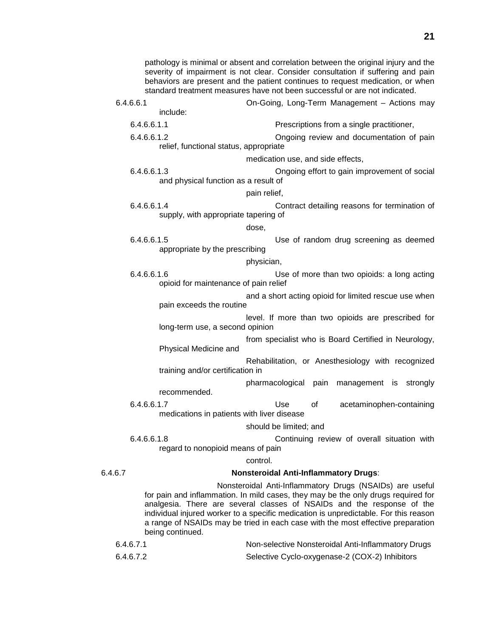pathology is minimal or absent and correlation between the original injury and the severity of impairment is not clear. Consider consultation if suffering and pain behaviors are present and the patient continues to request medication, or when standard treatment measures have not been successful or are not indicated.

- 6.4.6.6.1 On-Going, Long-Term Management Actions may include: 6.4.6.6.1.1 Prescriptions from a single practitioner, 6.4.6.6.1.2 Ongoing review and documentation of pain relief, functional status, appropriate medication use, and side effects, 6.4.6.6.1.3 Ongoing effort to gain improvement of social and physical function as a result of pain relief, 6.4.6.6.1.4 Contract detailing reasons for termination of supply, with appropriate tapering of dose,
	- 6.4.6.6.1.5 Use of random drug screening as deemed appropriate by the prescribing

#### physician,

- 6.4.6.6.1.6 Use of more than two opioids: a long acting opioid for maintenance of pain relief
	- and a short acting opioid for limited rescue use when pain exceeds the routine
	- level. If more than two opioids are prescribed for long-term use, a second opinion
	- from specialist who is Board Certified in Neurology, Physical Medicine and
	- Rehabilitation, or Anesthesiology with recognized training and/or certification in

### pharmacological pain management is strongly recommended.

6.4.6.6.1.7 Use of acetaminophen-containing medications in patients with liver disease

#### should be limited; and

6.4.6.6.1.8 Continuing review of overall situation with regard to nonopioid means of pain

#### control.

#### 6.4.6.7 **Nonsteroidal Anti-Inflammatory Drugs**:

Nonsteroidal Anti-Inflammatory Drugs (NSAIDs) are useful for pain and inflammation. In mild cases, they may be the only drugs required for analgesia. There are several classes of NSAIDs and the response of the individual injured worker to a specific medication is unpredictable. For this reason a range of NSAIDs may be tried in each case with the most effective preparation being continued.

| 6.4.6.7.1 | Non-selective Nonsteroidal Anti-Inflammatory Drugs |
|-----------|----------------------------------------------------|
| 6.4.6.7.2 | Selective Cyclo-oxygenase-2 (COX-2) Inhibitors     |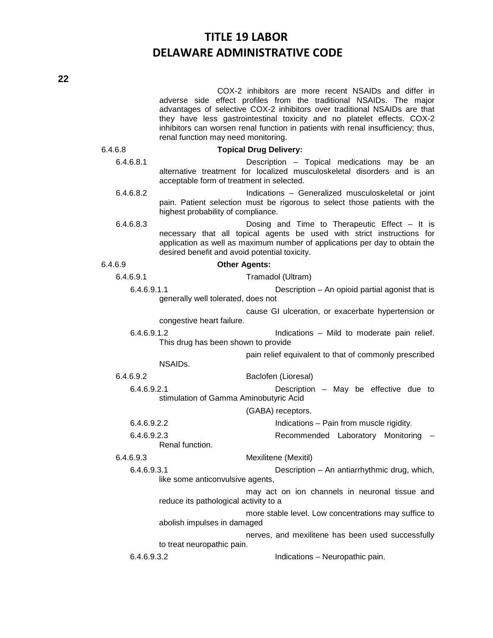COX-2 inhibitors are more recent NSAIDs and differ in adverse side effect profiles from the traditional NSAIDs. The major advantages of selective COX-2 inhibitors over traditional NSAIDs are that they have less gastrointestinal toxicity and no platelet effects. COX-2 inhibitors can worsen renal function in patients with renal insufficiency; thus, renal function may need monitoring.

### 6.4.6.8 **Topical Drug Delivery:**

- 6.4.6.8.1 Description Topical medications may be an alternative treatment for localized musculoskeletal disorders and is an acceptable form of treatment in selected.
- 6.4.6.8.2 Indications Generalized musculoskeletal or joint pain. Patient selection must be rigorous to select those patients with the highest probability of compliance.
- 6.4.6.8.3 Dosing and Time to Therapeutic Effect It is necessary that all topical agents be used with strict instructions for application as well as maximum number of applications per day to obtain the desired benefit and avoid potential toxicity.

### 6.4.6.9 **Other Agents:**

- 6.4.6.9.1 Tramadol (Ultram)
	- 6.4.6.9.1.1 Description An opioid partial agonist that is generally well tolerated, does not
		- cause GI ulceration, or exacerbate hypertension or congestive heart failure.

6.4.6.9.1.2 Indications – Mild to moderate pain relief. This drug has been shown to provide

pain relief equivalent to that of commonly prescribed

NSAIDs.

6.4.6.9.2 Baclofen (Lioresal)

6.4.6.9.2.1 Description – May be effective due to stimulation of Gamma Aminobutyric Acid

(GABA) receptors.

6.4.6.9.2.2 Indications – Pain from muscle rigidity.

6.4.6.9.2.3 Recommended Laboratory Monitoring – Renal function.

6.4.6.9.3 Mexilitene (Mexitil)

6.4.6.9.3.1 Description – An antiarrhythmic drug, which, like some anticonvulsive agents,

> may act on ion channels in neuronal tissue and reduce its pathological activity to a

> more stable level. Low concentrations may suffice to abolish impulses in damaged

nerves, and mexilitene has been used successfully to treat neuropathic pain.

6.4.6.9.3.2 Indications – Neuropathic pain.

**22**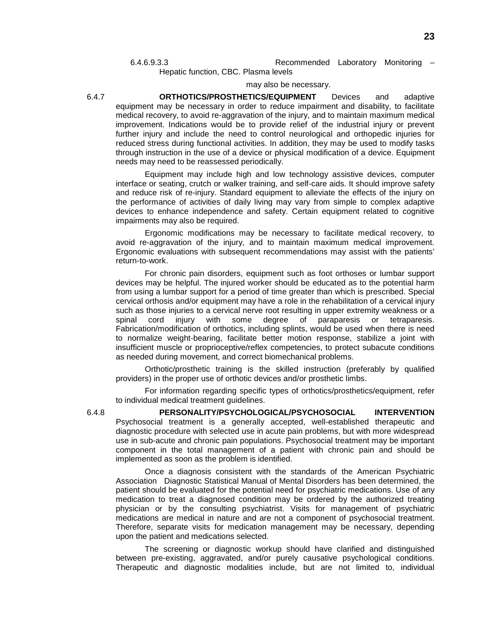Hepatic function, CBC. Plasma levels

#### may also be necessary.

6.4.7 **ORTHOTICS/PROSTHETICS/EQUIPMENT** Devices and adaptive equipment may be necessary in order to reduce impairment and disability, to facilitate medical recovery, to avoid re-aggravation of the injury, and to maintain maximum medical improvement. Indications would be to provide relief of the industrial injury or prevent further injury and include the need to control neurological and orthopedic injuries for reduced stress during functional activities. In addition, they may be used to modify tasks through instruction in the use of a device or physical modification of a device. Equipment needs may need to be reassessed periodically.

Equipment may include high and low technology assistive devices, computer interface or seating, crutch or walker training, and self-care aids. It should improve safety and reduce risk of re-injury. Standard equipment to alleviate the effects of the injury on the performance of activities of daily living may vary from simple to complex adaptive devices to enhance independence and safety. Certain equipment related to cognitive impairments may also be required.

Ergonomic modifications may be necessary to facilitate medical recovery, to avoid re-aggravation of the injury, and to maintain maximum medical improvement. Ergonomic evaluations with subsequent recommendations may assist with the patients' return-to-work.

For chronic pain disorders, equipment such as foot orthoses or lumbar support devices may be helpful. The injured worker should be educated as to the potential harm from using a lumbar support for a period of time greater than which is prescribed. Special cervical orthosis and/or equipment may have a role in the rehabilitation of a cervical injury such as those injuries to a cervical nerve root resulting in upper extremity weakness or a spinal cord injury with some degree of paraparesis or tetraparesis. Fabrication/modification of orthotics, including splints, would be used when there is need to normalize weight-bearing, facilitate better motion response, stabilize a joint with insufficient muscle or proprioceptive/reflex competencies, to protect subacute conditions as needed during movement, and correct biomechanical problems.

Orthotic/prosthetic training is the skilled instruction (preferably by qualified providers) in the proper use of orthotic devices and/or prosthetic limbs.

For information regarding specific types of orthotics/prosthetics/equipment, refer to individual medical treatment guidelines.

6.4.8 **PERSONALITY/PSYCHOLOGICAL/PSYCHOSOCIAL INTERVENTION** Psychosocial treatment is a generally accepted, well-established therapeutic and diagnostic procedure with selected use in acute pain problems, but with more widespread use in sub-acute and chronic pain populations. Psychosocial treatment may be important component in the total management of a patient with chronic pain and should be implemented as soon as the problem is identified.

Once a diagnosis consistent with the standards of the American Psychiatric Association Diagnostic Statistical Manual of Mental Disorders has been determined, the patient should be evaluated for the potential need for psychiatric medications. Use of any medication to treat a diagnosed condition may be ordered by the authorized treating physician or by the consulting psychiatrist. Visits for management of psychiatric medications are medical in nature and are not a component of psychosocial treatment. Therefore, separate visits for medication management may be necessary, depending upon the patient and medications selected.

The screening or diagnostic workup should have clarified and distinguished between pre-existing, aggravated, and/or purely causative psychological conditions. Therapeutic and diagnostic modalities include, but are not limited to, individual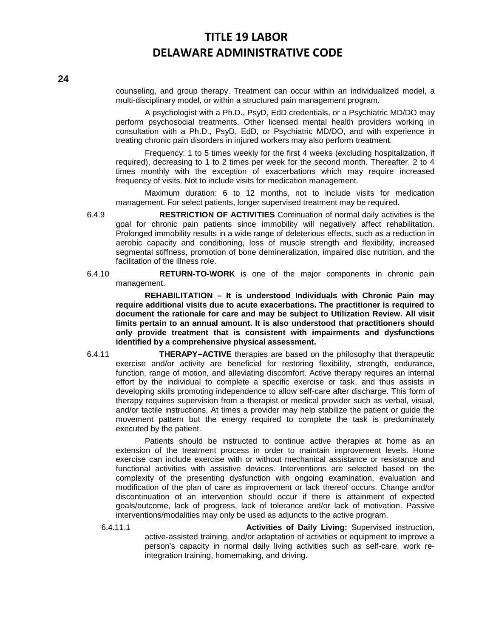counseling, and group therapy. Treatment can occur within an individualized model, a multi-disciplinary model, or within a structured pain management program.

A psychologist with a Ph.D., PsyD, EdD credentials, or a Psychiatric MD/DO may perform psychosocial treatments. Other licensed mental health providers working in consultation with a Ph.D., PsyD, EdD, or Psychiatric MD/DO, and with experience in treating chronic pain disorders in injured workers may also perform treatment.

Frequency: 1 to 5 times weekly for the first 4 weeks (excluding hospitalization, if required), decreasing to 1 to 2 times per week for the second month. Thereafter, 2 to 4 times monthly with the exception of exacerbations which may require increased frequency of visits. Not to include visits for medication management.

Maximum duration: 6 to 12 months, not to include visits for medication management. For select patients, longer supervised treatment may be required.

- 6.4.9 **RESTRICTION OF ACTIVITIES** Continuation of normal daily activities is the goal for chronic pain patients since immobility will negatively affect rehabilitation. Prolonged immobility results in a wide range of deleterious effects, such as a reduction in aerobic capacity and conditioning, loss of muscle strength and flexibility, increased segmental stiffness, promotion of bone demineralization, impaired disc nutrition, and the facilitation of the illness role.
- 6.4.10 **RETURN-TO-WORK** is one of the major components in chronic pain management.

**REHABILITATION – It is understood Individuals with Chronic Pain may require additional visits due to acute exacerbations. The practitioner is required to document the rationale for care and may be subject to Utilization Review. All visit limits pertain to an annual amount. It is also understood that practitioners should only provide treatment that is consistent with impairments and dysfunctions identified by a comprehensive physical assessment.** 

6.4.11 **THERAPY–ACTIVE** therapies are based on the philosophy that therapeutic exercise and/or activity are beneficial for restoring flexibility, strength, endurance, function, range of motion, and alleviating discomfort. Active therapy requires an internal effort by the individual to complete a specific exercise or task, and thus assists in developing skills promoting independence to allow self-care after discharge. This form of therapy requires supervision from a therapist or medical provider such as verbal, visual, and/or tactile instructions. At times a provider may help stabilize the patient or guide the movement pattern but the energy required to complete the task is predominately executed by the patient.

Patients should be instructed to continue active therapies at home as an extension of the treatment process in order to maintain improvement levels. Home exercise can include exercise with or without mechanical assistance or resistance and functional activities with assistive devices. Interventions are selected based on the complexity of the presenting dysfunction with ongoing examination, evaluation and modification of the plan of care as improvement or lack thereof occurs. Change and/or discontinuation of an intervention should occur if there is attainment of expected goals/outcome, lack of progress, lack of tolerance and/or lack of motivation. Passive interventions/modalities may only be used as adjuncts to the active program.

6.4.11.1 **Activities of Daily Living:** Supervised instruction, active-assisted training, and/or adaptation of activities or equipment to improve a person's capacity in normal daily living activities such as self-care, work reintegration training, homemaking, and driving.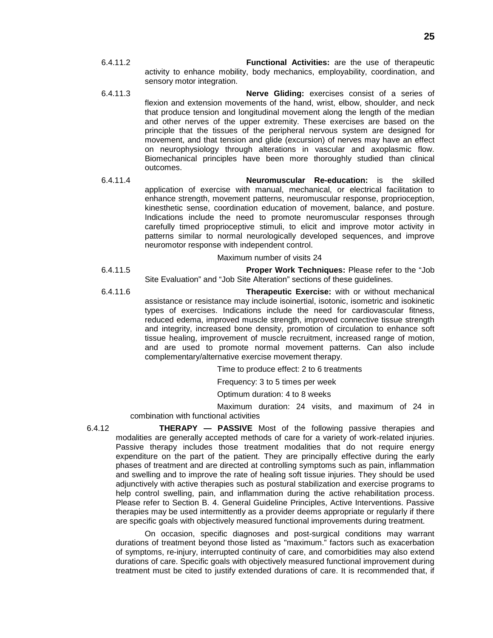- 6.4.11.2 **Functional Activities:** are the use of therapeutic activity to enhance mobility, body mechanics, employability, coordination, and sensory motor integration.
- 6.4.11.3 **Nerve Gliding:** exercises consist of a series of flexion and extension movements of the hand, wrist, elbow, shoulder, and neck that produce tension and longitudinal movement along the length of the median and other nerves of the upper extremity. These exercises are based on the principle that the tissues of the peripheral nervous system are designed for movement, and that tension and glide (excursion) of nerves may have an effect on neurophysiology through alterations in vascular and axoplasmic flow. Biomechanical principles have been more thoroughly studied than clinical outcomes.
- 6.4.11.4 **Neuromuscular Re-education:** is the skilled application of exercise with manual, mechanical, or electrical facilitation to enhance strength, movement patterns, neuromuscular response, proprioception, kinesthetic sense, coordination education of movement, balance, and posture. Indications include the need to promote neuromuscular responses through carefully timed proprioceptive stimuli, to elicit and improve motor activity in patterns similar to normal neurologically developed sequences, and improve neuromotor response with independent control.

Maximum number of visits 24

- 6.4.11.5 **Proper Work Techniques:** Please refer to the "Job Site Evaluation" and "Job Site Alteration" sections of these guidelines.
- 6.4.11.6 **Therapeutic Exercise:** with or without mechanical assistance or resistance may include isoinertial, isotonic, isometric and isokinetic types of exercises. Indications include the need for cardiovascular fitness, reduced edema, improved muscle strength, improved connective tissue strength and integrity, increased bone density, promotion of circulation to enhance soft tissue healing, improvement of muscle recruitment, increased range of motion, and are used to promote normal movement patterns. Can also include complementary/alternative exercise movement therapy.

Time to produce effect: 2 to 6 treatments

Frequency: 3 to 5 times per week

Optimum duration: 4 to 8 weeks

Maximum duration: 24 visits, and maximum of 24 in combination with functional activities

6.4.12 **THERAPY — PASSIVE** Most of the following passive therapies and modalities are generally accepted methods of care for a variety of work-related injuries. Passive therapy includes those treatment modalities that do not require energy expenditure on the part of the patient. They are principally effective during the early phases of treatment and are directed at controlling symptoms such as pain, inflammation and swelling and to improve the rate of healing soft tissue injuries. They should be used adjunctively with active therapies such as postural stabilization and exercise programs to help control swelling, pain, and inflammation during the active rehabilitation process. Please refer to Section B. 4. General Guideline Principles, Active Interventions. Passive therapies may be used intermittently as a provider deems appropriate or regularly if there are specific goals with objectively measured functional improvements during treatment.

On occasion, specific diagnoses and post-surgical conditions may warrant durations of treatment beyond those listed as "maximum." factors such as exacerbation of symptoms, re-injury, interrupted continuity of care, and comorbidities may also extend durations of care. Specific goals with objectively measured functional improvement during treatment must be cited to justify extended durations of care. It is recommended that, if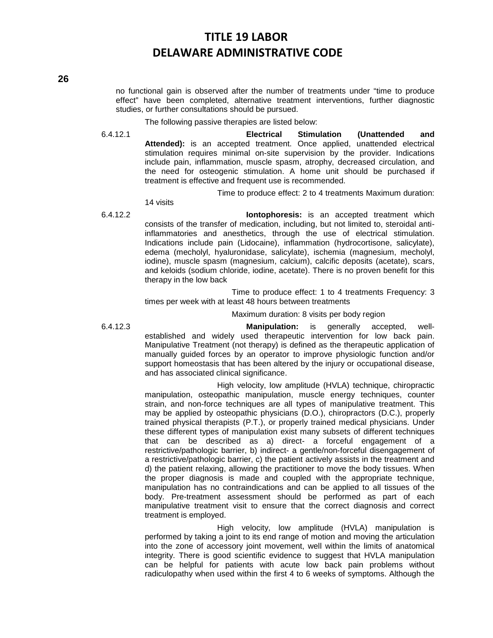no functional gain is observed after the number of treatments under "time to produce effect" have been completed, alternative treatment interventions, further diagnostic studies, or further consultations should be pursued.

The following passive therapies are listed below:

6.4.12.1 **Electrical Stimulation (Unattended and Attended):** is an accepted treatment. Once applied, unattended electrical stimulation requires minimal on-site supervision by the provider. Indications include pain, inflammation, muscle spasm, atrophy, decreased circulation, and the need for osteogenic stimulation. A home unit should be purchased if treatment is effective and frequent use is recommended.

Time to produce effect: 2 to 4 treatments Maximum duration:

14 visits

6.4.12.2 **Iontophoresis:** is an accepted treatment which consists of the transfer of medication, including, but not limited to, steroidal antiinflammatories and anesthetics, through the use of electrical stimulation. Indications include pain (Lidocaine), inflammation (hydrocortisone, salicylate), edema (mecholyl, hyaluronidase, salicylate), ischemia (magnesium, mecholyl, iodine), muscle spasm (magnesium, calcium), calcific deposits (acetate), scars, and keloids (sodium chloride, iodine, acetate). There is no proven benefit for this therapy in the low back

> Time to produce effect: 1 to 4 treatments Frequency: 3 times per week with at least 48 hours between treatments

> > Maximum duration: 8 visits per body region

6.4.12.3 **Manipulation:** is generally accepted, wellestablished and widely used therapeutic intervention for low back pain. Manipulative Treatment (not therapy) is defined as the therapeutic application of manually guided forces by an operator to improve physiologic function and/or support homeostasis that has been altered by the injury or occupational disease, and has associated clinical significance.

> High velocity, low amplitude (HVLA) technique, chiropractic manipulation, osteopathic manipulation, muscle energy techniques, counter strain, and non-force techniques are all types of manipulative treatment. This may be applied by osteopathic physicians (D.O.), chiropractors (D.C.), properly trained physical therapists (P.T.), or properly trained medical physicians. Under these different types of manipulation exist many subsets of different techniques that can be described as a) direct- a forceful engagement of a restrictive/pathologic barrier, b) indirect- a gentle/non-forceful disengagement of a restrictive/pathologic barrier, c) the patient actively assists in the treatment and d) the patient relaxing, allowing the practitioner to move the body tissues. When the proper diagnosis is made and coupled with the appropriate technique, manipulation has no contraindications and can be applied to all tissues of the body. Pre-treatment assessment should be performed as part of each manipulative treatment visit to ensure that the correct diagnosis and correct treatment is employed.

> High velocity, low amplitude (HVLA) manipulation is performed by taking a joint to its end range of motion and moving the articulation into the zone of accessory joint movement, well within the limits of anatomical integrity. There is good scientific evidence to suggest that HVLA manipulation can be helpful for patients with acute low back pain problems without radiculopathy when used within the first 4 to 6 weeks of symptoms. Although the

**26**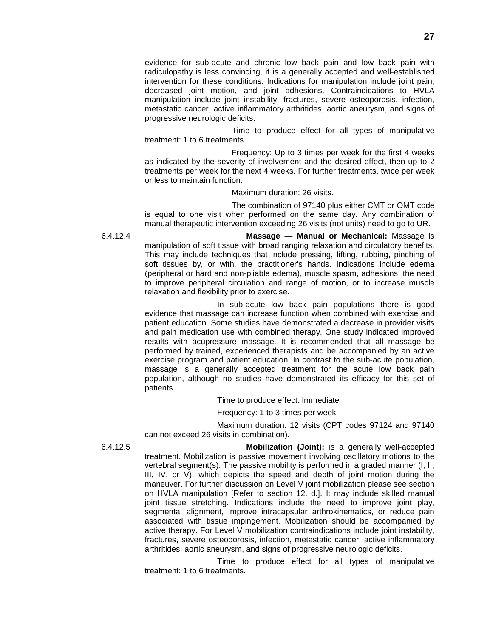evidence for sub-acute and chronic low back pain and low back pain with radiculopathy is less convincing, it is a generally accepted and well-established intervention for these conditions. Indications for manipulation include joint pain, decreased joint motion, and joint adhesions. Contraindications to HVLA manipulation include joint instability, fractures, severe osteoporosis, infection, metastatic cancer, active inflammatory arthritides, aortic aneurysm, and signs of progressive neurologic deficits.

Time to produce effect for all types of manipulative treatment: 1 to 6 treatments.

Frequency: Up to 3 times per week for the first 4 weeks as indicated by the severity of involvement and the desired effect, then up to 2 treatments per week for the next 4 weeks. For further treatments, twice per week or less to maintain function.

Maximum duration: 26 visits.

The combination of 97140 plus either CMT or OMT code is equal to one visit when performed on the same day. Any combination of manual therapeutic intervention exceeding 26 visits (not units) need to go to UR.

6.4.12.4 **Massage — Manual or Mechanical:** Massage is manipulation of soft tissue with broad ranging relaxation and circulatory benefits. This may include techniques that include pressing, lifting, rubbing, pinching of soft tissues by, or with, the practitioner's hands. Indications include edema (peripheral or hard and non-pliable edema), muscle spasm, adhesions, the need to improve peripheral circulation and range of motion, or to increase muscle relaxation and flexibility prior to exercise.

> In sub-acute low back pain populations there is good evidence that massage can increase function when combined with exercise and patient education. Some studies have demonstrated a decrease in provider visits and pain medication use with combined therapy. One study indicated improved results with acupressure massage. It is recommended that all massage be performed by trained, experienced therapists and be accompanied by an active exercise program and patient education. In contrast to the sub-acute population, massage is a generally accepted treatment for the acute low back pain population, although no studies have demonstrated its efficacy for this set of patients.

> > Time to produce effect: Immediate

Frequency: 1 to 3 times per week

Maximum duration: 12 visits (CPT codes 97124 and 97140 can not exceed 26 visits in combination).

6.4.12.5 **Mobilization (Joint):** is a generally well-accepted treatment. Mobilization is passive movement involving oscillatory motions to the vertebral segment(s). The passive mobility is performed in a graded manner (I, II, III, IV, or V), which depicts the speed and depth of joint motion during the maneuver. For further discussion on Level V joint mobilization please see section on HVLA manipulation [Refer to section 12. d.]. It may include skilled manual joint tissue stretching. Indications include the need to improve joint play, segmental alignment, improve intracapsular arthrokinematics, or reduce pain associated with tissue impingement. Mobilization should be accompanied by active therapy. For Level V mobilization contraindications include joint instability, fractures, severe osteoporosis, infection, metastatic cancer, active inflammatory arthritides, aortic aneurysm, and signs of progressive neurologic deficits.

> Time to produce effect for all types of manipulative treatment: 1 to 6 treatments.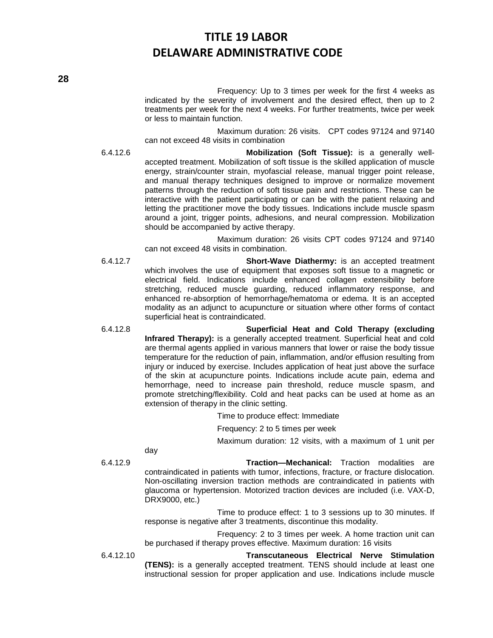Frequency: Up to 3 times per week for the first 4 weeks as indicated by the severity of involvement and the desired effect, then up to 2 treatments per week for the next 4 weeks. For further treatments, twice per week or less to maintain function.

Maximum duration: 26 visits. CPT codes 97124 and 97140 can not exceed 48 visits in combination

6.4.12.6 **Mobilization (Soft Tissue):** is a generally wellaccepted treatment. Mobilization of soft tissue is the skilled application of muscle energy, strain/counter strain, myofascial release, manual trigger point release, and manual therapy techniques designed to improve or normalize movement patterns through the reduction of soft tissue pain and restrictions. These can be interactive with the patient participating or can be with the patient relaxing and letting the practitioner move the body tissues. Indications include muscle spasm around a joint, trigger points, adhesions, and neural compression. Mobilization should be accompanied by active therapy.

> Maximum duration: 26 visits CPT codes 97124 and 97140 can not exceed 48 visits in combination.

- 6.4.12.7 **Short-Wave Diathermy:** is an accepted treatment which involves the use of equipment that exposes soft tissue to a magnetic or electrical field. Indications include enhanced collagen extensibility before stretching, reduced muscle guarding, reduced inflammatory response, and enhanced re-absorption of hemorrhage/hematoma or edema. It is an accepted modality as an adjunct to acupuncture or situation where other forms of contact superficial heat is contraindicated.
- 6.4.12.8 **Superficial Heat and Cold Therapy (excluding Infrared Therapy):** is a generally accepted treatment. Superficial heat and cold are thermal agents applied in various manners that lower or raise the body tissue temperature for the reduction of pain, inflammation, and/or effusion resulting from injury or induced by exercise. Includes application of heat just above the surface of the skin at acupuncture points. Indications include acute pain, edema and hemorrhage, need to increase pain threshold, reduce muscle spasm, and promote stretching/flexibility. Cold and heat packs can be used at home as an extension of therapy in the clinic setting.

Time to produce effect: Immediate

Frequency: 2 to 5 times per week

Maximum duration: 12 visits, with a maximum of 1 unit per

day

6.4.12.9 **Traction—Mechanical:** Traction modalities are contraindicated in patients with tumor, infections, fracture, or fracture dislocation. Non-oscillating inversion traction methods are contraindicated in patients with glaucoma or hypertension. Motorized traction devices are included (i.e. VAX-D, DRX9000, etc.)

> Time to produce effect: 1 to 3 sessions up to 30 minutes. If response is negative after 3 treatments, discontinue this modality.

> Frequency: 2 to 3 times per week. A home traction unit can be purchased if therapy proves effective. Maximum duration: 16 visits

6.4.12.10 **Transcutaneous Electrical Nerve Stimulation (TENS):** is a generally accepted treatment. TENS should include at least one instructional session for proper application and use. Indications include muscle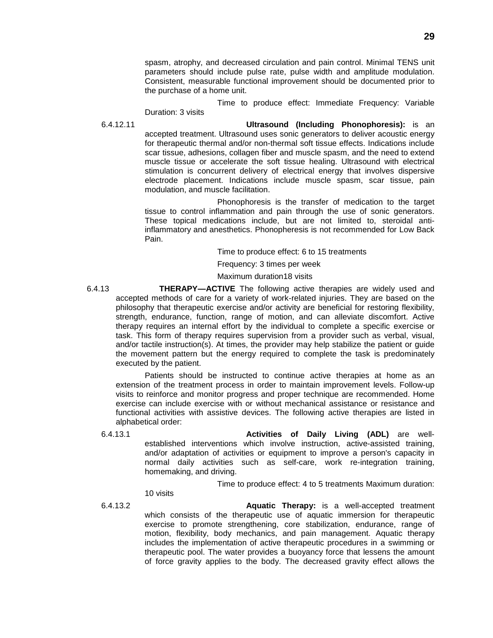spasm, atrophy, and decreased circulation and pain control. Minimal TENS unit parameters should include pulse rate, pulse width and amplitude modulation. Consistent, measurable functional improvement should be documented prior to the purchase of a home unit.

Time to produce effect: Immediate Frequency: Variable Duration: 3 visits

6.4.12.11 **Ultrasound (Including Phonophoresis):** is an accepted treatment. Ultrasound uses sonic generators to deliver acoustic energy for therapeutic thermal and/or non-thermal soft tissue effects. Indications include scar tissue, adhesions, collagen fiber and muscle spasm, and the need to extend muscle tissue or accelerate the soft tissue healing. Ultrasound with electrical stimulation is concurrent delivery of electrical energy that involves dispersive electrode placement. Indications include muscle spasm, scar tissue, pain modulation, and muscle facilitation.

> Phonophoresis is the transfer of medication to the target tissue to control inflammation and pain through the use of sonic generators. These topical medications include, but are not limited to, steroidal antiinflammatory and anesthetics. Phonopheresis is not recommended for Low Back Pain.

> > Time to produce effect: 6 to 15 treatments

Frequency: 3 times per week

Maximum duration18 visits

6.4.13 **THERAPY—ACTIVE** The following active therapies are widely used and accepted methods of care for a variety of work-related injuries. They are based on the philosophy that therapeutic exercise and/or activity are beneficial for restoring flexibility, strength, endurance, function, range of motion, and can alleviate discomfort. Active therapy requires an internal effort by the individual to complete a specific exercise or task. This form of therapy requires supervision from a provider such as verbal, visual, and/or tactile instruction(s). At times, the provider may help stabilize the patient or guide the movement pattern but the energy required to complete the task is predominately executed by the patient.

Patients should be instructed to continue active therapies at home as an extension of the treatment process in order to maintain improvement levels. Follow-up visits to reinforce and monitor progress and proper technique are recommended. Home exercise can include exercise with or without mechanical assistance or resistance and functional activities with assistive devices. The following active therapies are listed in alphabetical order:

6.4.13.1 **Activities of Daily Living (ADL)** are wellestablished interventions which involve instruction, active-assisted training, and/or adaptation of activities or equipment to improve a person's capacity in normal daily activities such as self-care, work re-integration training, homemaking, and driving.

Time to produce effect: 4 to 5 treatments Maximum duration:

10 visits

6.4.13.2 **Aquatic Therapy:** is a well-accepted treatment which consists of the therapeutic use of aquatic immersion for therapeutic exercise to promote strengthening, core stabilization, endurance, range of motion, flexibility, body mechanics, and pain management. Aquatic therapy includes the implementation of active therapeutic procedures in a swimming or therapeutic pool. The water provides a buoyancy force that lessens the amount of force gravity applies to the body. The decreased gravity effect allows the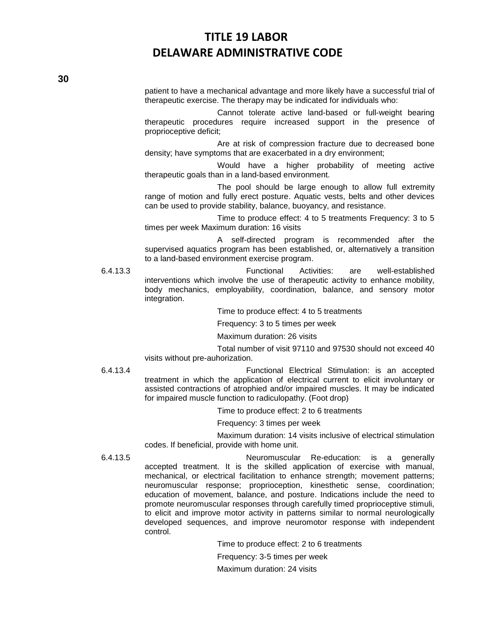patient to have a mechanical advantage and more likely have a successful trial of therapeutic exercise. The therapy may be indicated for individuals who:

Cannot tolerate active land-based or full-weight bearing therapeutic procedures require increased support in the presence of proprioceptive deficit;

Are at risk of compression fracture due to decreased bone density; have symptoms that are exacerbated in a dry environment;

Would have a higher probability of meeting active therapeutic goals than in a land-based environment.

The pool should be large enough to allow full extremity range of motion and fully erect posture. Aquatic vests, belts and other devices can be used to provide stability, balance, buoyancy, and resistance.

Time to produce effect: 4 to 5 treatments Frequency: 3 to 5 times per week Maximum duration: 16 visits

A self-directed program is recommended after the supervised aquatics program has been established, or, alternatively a transition to a land-based environment exercise program.

6.4.13.3 Functional Activities: are well-established interventions which involve the use of therapeutic activity to enhance mobility, body mechanics, employability, coordination, balance, and sensory motor integration.

Time to produce effect: 4 to 5 treatments

Frequency: 3 to 5 times per week

Maximum duration: 26 visits

Total number of visit 97110 and 97530 should not exceed 40 visits without pre-auhorization.

6.4.13.4 Functional Electrical Stimulation: is an accepted treatment in which the application of electrical current to elicit involuntary or assisted contractions of atrophied and/or impaired muscles. It may be indicated for impaired muscle function to radiculopathy. (Foot drop)

Time to produce effect: 2 to 6 treatments

Frequency: 3 times per week

Maximum duration: 14 visits inclusive of electrical stimulation codes. If beneficial, provide with home unit.

6.4.13.5 Neuromuscular Re-education: is a generally accepted treatment. It is the skilled application of exercise with manual, mechanical, or electrical facilitation to enhance strength; movement patterns; neuromuscular response; proprioception, kinesthetic sense, coordination; education of movement, balance, and posture. Indications include the need to promote neuromuscular responses through carefully timed proprioceptive stimuli, to elicit and improve motor activity in patterns similar to normal neurologically developed sequences, and improve neuromotor response with independent control.

Time to produce effect: 2 to 6 treatments

Frequency: 3-5 times per week

Maximum duration: 24 visits

**30**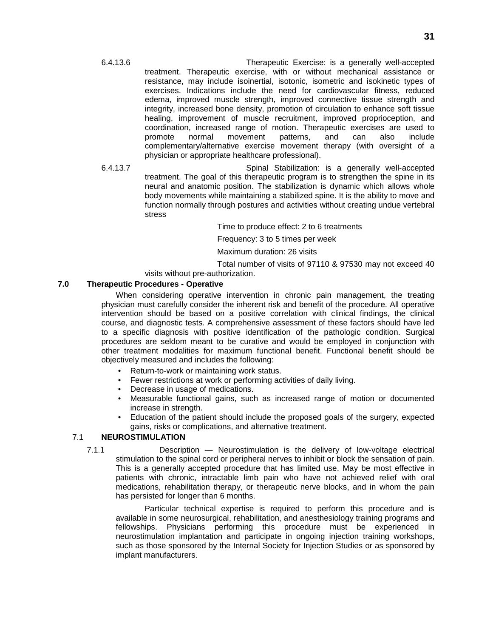- 6.4.13.6 Therapeutic Exercise: is a generally well-accepted treatment. Therapeutic exercise, with or without mechanical assistance or resistance, may include isoinertial, isotonic, isometric and isokinetic types of exercises. Indications include the need for cardiovascular fitness, reduced edema, improved muscle strength, improved connective tissue strength and integrity, increased bone density, promotion of circulation to enhance soft tissue healing, improvement of muscle recruitment, improved proprioception, and coordination, increased range of motion. Therapeutic exercises are used to promote normal movement patterns, and can also include complementary/alternative exercise movement therapy (with oversight of a physician or appropriate healthcare professional).
- 6.4.13.7 Spinal Stabilization: is a generally well-accepted treatment. The goal of this therapeutic program is to strengthen the spine in its neural and anatomic position. The stabilization is dynamic which allows whole body movements while maintaining a stabilized spine. It is the ability to move and function normally through postures and activities without creating undue vertebral stress

Time to produce effect: 2 to 6 treatments

Frequency: 3 to 5 times per week

Maximum duration: 26 visits

Total number of visits of 97110 & 97530 may not exceed 40

visits without pre-authorization.

### **7.0 Therapeutic Procedures - Operative**

When considering operative intervention in chronic pain management, the treating physician must carefully consider the inherent risk and benefit of the procedure. All operative intervention should be based on a positive correlation with clinical findings, the clinical course, and diagnostic tests. A comprehensive assessment of these factors should have led to a specific diagnosis with positive identification of the pathologic condition. Surgical procedures are seldom meant to be curative and would be employed in conjunction with other treatment modalities for maximum functional benefit. Functional benefit should be objectively measured and includes the following:

- Return-to-work or maintaining work status.
- Fewer restrictions at work or performing activities of daily living.
- Decrease in usage of medications.
- Measurable functional gains, such as increased range of motion or documented increase in strength.
- Education of the patient should include the proposed goals of the surgery, expected gains, risks or complications, and alternative treatment.

### 7.1 **NEUROSTIMULATION**

7.1.1 Description — Neurostimulation is the delivery of low-voltage electrical stimulation to the spinal cord or peripheral nerves to inhibit or block the sensation of pain. This is a generally accepted procedure that has limited use. May be most effective in patients with chronic, intractable limb pain who have not achieved relief with oral medications, rehabilitation therapy, or therapeutic nerve blocks, and in whom the pain has persisted for longer than 6 months.

Particular technical expertise is required to perform this procedure and is available in some neurosurgical, rehabilitation, and anesthesiology training programs and fellowships. Physicians performing this procedure must be experienced in neurostimulation implantation and participate in ongoing injection training workshops, such as those sponsored by the Internal Society for Injection Studies or as sponsored by implant manufacturers.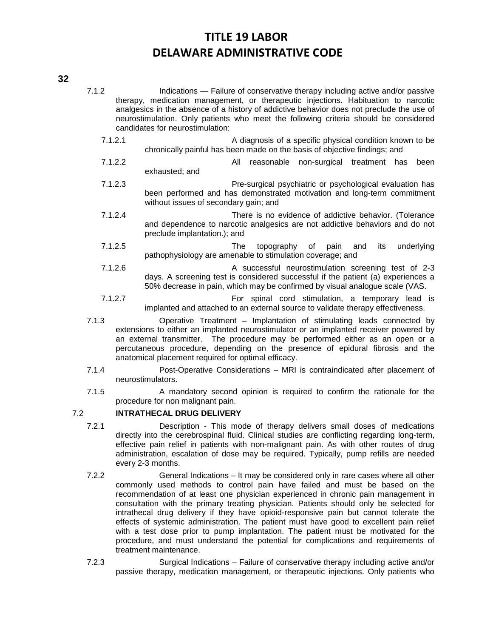### **32**

- 7.1.2 Indications Failure of conservative therapy including active and/or passive therapy, medication management, or therapeutic injections. Habituation to narcotic analgesics in the absence of a history of addictive behavior does not preclude the use of neurostimulation. Only patients who meet the following criteria should be considered candidates for neurostimulation:
	- 7.1.2.1 A diagnosis of a specific physical condition known to be chronically painful has been made on the basis of objective findings; and
	- 7.1.2.2 All reasonable non-surgical treatment has been exhausted; and
	- 7.1.2.3 Pre-surgical psychiatric or psychological evaluation has been performed and has demonstrated motivation and long-term commitment without issues of secondary gain; and
	- 7.1.2.4 There is no evidence of addictive behavior. (Tolerance and dependence to narcotic analgesics are not addictive behaviors and do not preclude implantation.); and
	- 7.1.2.5 The topography of pain and its underlying pathophysiology are amenable to stimulation coverage; and
	- 7.1.2.6 A successful neurostimulation screening test of 2-3 days. A screening test is considered successful if the patient (a) experiences a 50% decrease in pain, which may be confirmed by visual analogue scale (VAS.
	- 7.1.2.7 For spinal cord stimulation, a temporary lead is implanted and attached to an external source to validate therapy effectiveness.
- 7.1.3 Operative Treatment Implantation of stimulating leads connected by extensions to either an implanted neurostimulator or an implanted receiver powered by an external transmitter. The procedure may be performed either as an open or a percutaneous procedure, depending on the presence of epidural fibrosis and the anatomical placement required for optimal efficacy.
- 7.1.4 Post-Operative Considerations MRI is contraindicated after placement of neurostimulators.
- 7.1.5 A mandatory second opinion is required to confirm the rationale for the procedure for non malignant pain.

### 7.2 **INTRATHECAL DRUG DELIVERY**

- 7.2.1 Description This mode of therapy delivers small doses of medications directly into the cerebrospinal fluid. Clinical studies are conflicting regarding long-term, effective pain relief in patients with non-malignant pain. As with other routes of drug administration, escalation of dose may be required. Typically, pump refills are needed every 2-3 months.
- 7.2.2 General Indications It may be considered only in rare cases where all other commonly used methods to control pain have failed and must be based on the recommendation of at least one physician experienced in chronic pain management in consultation with the primary treating physician. Patients should only be selected for intrathecal drug delivery if they have opioid-responsive pain but cannot tolerate the effects of systemic administration. The patient must have good to excellent pain relief with a test dose prior to pump implantation. The patient must be motivated for the procedure, and must understand the potential for complications and requirements of treatment maintenance.
- 7.2.3 Surgical Indications Failure of conservative therapy including active and/or passive therapy, medication management, or therapeutic injections. Only patients who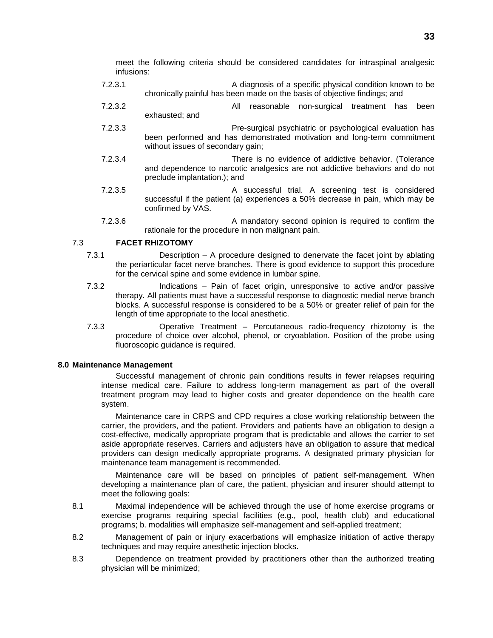meet the following criteria should be considered candidates for intraspinal analgesic infusions:

- 7.2.3.1 A diagnosis of a specific physical condition known to be chronically painful has been made on the basis of objective findings; and
- 7.2.3.2 All reasonable non-surgical treatment has been exhausted; and
- 7.2.3.3 Pre-surgical psychiatric or psychological evaluation has been performed and has demonstrated motivation and long-term commitment without issues of secondary gain;
- 7.2.3.4 There is no evidence of addictive behavior. (Tolerance and dependence to narcotic analgesics are not addictive behaviors and do not preclude implantation.); and
- 7.2.3.5 A successful trial. A screening test is considered successful if the patient (a) experiences a 50% decrease in pain, which may be confirmed by VAS.
- 7.2.3.6 A mandatory second opinion is required to confirm the rationale for the procedure in non malignant pain.

### 7.3 **FACET RHIZOTOMY**

- 7.3.1 Description A procedure designed to denervate the facet joint by ablating the periarticular facet nerve branches. There is good evidence to support this procedure for the cervical spine and some evidence in lumbar spine.
- 7.3.2 Indications Pain of facet origin, unresponsive to active and/or passive therapy. All patients must have a successful response to diagnostic medial nerve branch blocks. A successful response is considered to be a 50% or greater relief of pain for the length of time appropriate to the local anesthetic.
- 7.3.3 Operative Treatment Percutaneous radio-frequency rhizotomy is the procedure of choice over alcohol, phenol, or cryoablation. Position of the probe using fluoroscopic guidance is required.

### **8.0 Maintenance Management**

Successful management of chronic pain conditions results in fewer relapses requiring intense medical care. Failure to address long-term management as part of the overall treatment program may lead to higher costs and greater dependence on the health care system.

Maintenance care in CRPS and CPD requires a close working relationship between the carrier, the providers, and the patient. Providers and patients have an obligation to design a cost-effective, medically appropriate program that is predictable and allows the carrier to set aside appropriate reserves. Carriers and adjusters have an obligation to assure that medical providers can design medically appropriate programs. A designated primary physician for maintenance team management is recommended.

Maintenance care will be based on principles of patient self-management. When developing a maintenance plan of care, the patient, physician and insurer should attempt to meet the following goals:

8.1 Maximal independence will be achieved through the use of home exercise programs or exercise programs requiring special facilities (e.g., pool, health club) and educational programs; b. modalities will emphasize self-management and self-applied treatment;

- 8.2 Management of pain or injury exacerbations will emphasize initiation of active therapy techniques and may require anesthetic injection blocks.
- 8.3 Dependence on treatment provided by practitioners other than the authorized treating physician will be minimized;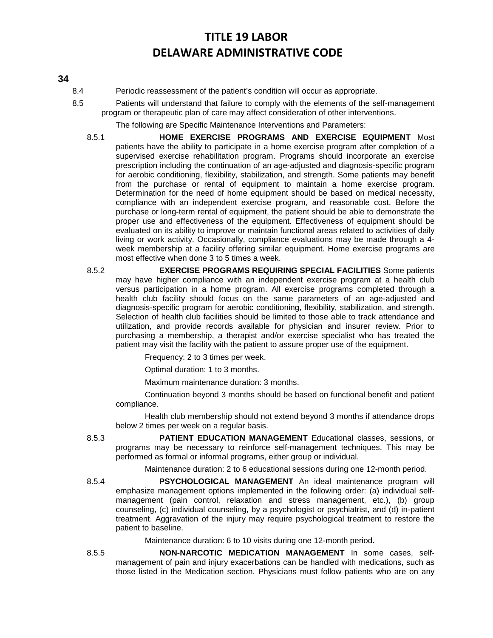### **34**

- 8.4 Periodic reassessment of the patient's condition will occur as appropriate.
- 8.5 Patients will understand that failure to comply with the elements of the self-management program or therapeutic plan of care may affect consideration of other interventions.

The following are Specific Maintenance Interventions and Parameters:

- 8.5.1 **HOME EXERCISE PROGRAMS AND EXERCISE EQUIPMENT** Most patients have the ability to participate in a home exercise program after completion of a supervised exercise rehabilitation program. Programs should incorporate an exercise prescription including the continuation of an age-adjusted and diagnosis-specific program for aerobic conditioning, flexibility, stabilization, and strength. Some patients may benefit from the purchase or rental of equipment to maintain a home exercise program. Determination for the need of home equipment should be based on medical necessity, compliance with an independent exercise program, and reasonable cost. Before the purchase or long-term rental of equipment, the patient should be able to demonstrate the proper use and effectiveness of the equipment. Effectiveness of equipment should be evaluated on its ability to improve or maintain functional areas related to activities of daily living or work activity. Occasionally, compliance evaluations may be made through a 4 week membership at a facility offering similar equipment. Home exercise programs are most effective when done 3 to 5 times a week.
- 8.5.2 **EXERCISE PROGRAMS REQUIRING SPECIAL FACILITIES** Some patients may have higher compliance with an independent exercise program at a health club versus participation in a home program. All exercise programs completed through a health club facility should focus on the same parameters of an age-adjusted and diagnosis-specific program for aerobic conditioning, flexibility, stabilization, and strength. Selection of health club facilities should be limited to those able to track attendance and utilization, and provide records available for physician and insurer review. Prior to purchasing a membership, a therapist and/or exercise specialist who has treated the patient may visit the facility with the patient to assure proper use of the equipment.

Frequency: 2 to 3 times per week.

Optimal duration: 1 to 3 months.

Maximum maintenance duration: 3 months.

Continuation beyond 3 months should be based on functional benefit and patient compliance.

Health club membership should not extend beyond 3 months if attendance drops below 2 times per week on a regular basis.

8.5.3 **PATIENT EDUCATION MANAGEMENT** Educational classes, sessions, or programs may be necessary to reinforce self-management techniques. This may be performed as formal or informal programs, either group or individual.

Maintenance duration: 2 to 6 educational sessions during one 12-month period.

8.5.4 **PSYCHOLOGICAL MANAGEMENT** An ideal maintenance program will emphasize management options implemented in the following order: (a) individual selfmanagement (pain control, relaxation and stress management, etc.), (b) group counseling, (c) individual counseling, by a psychologist or psychiatrist, and (d) in-patient treatment. Aggravation of the injury may require psychological treatment to restore the patient to baseline.

Maintenance duration: 6 to 10 visits during one 12-month period.

8.5.5 **NON-NARCOTIC MEDICATION MANAGEMENT** In some cases, selfmanagement of pain and injury exacerbations can be handled with medications, such as those listed in the Medication section. Physicians must follow patients who are on any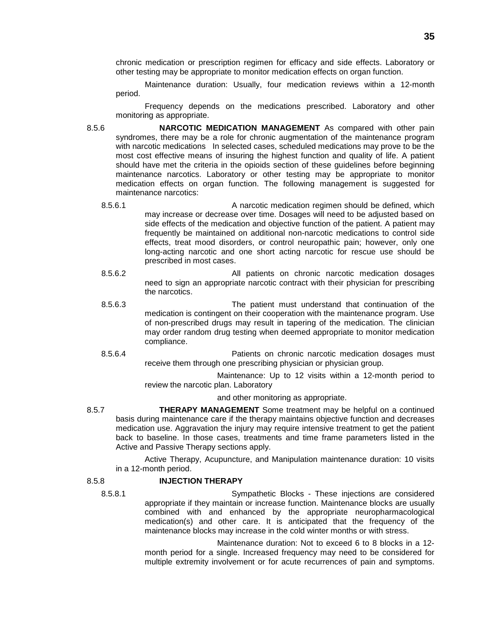chronic medication or prescription regimen for efficacy and side effects. Laboratory or other testing may be appropriate to monitor medication effects on organ function.

Maintenance duration: Usually, four medication reviews within a 12-month period.

Frequency depends on the medications prescribed. Laboratory and other monitoring as appropriate.

- 8.5.6 **NARCOTIC MEDICATION MANAGEMENT** As compared with other pain syndromes, there may be a role for chronic augmentation of the maintenance program with narcotic medications In selected cases, scheduled medications may prove to be the most cost effective means of insuring the highest function and quality of life. A patient should have met the criteria in the opioids section of these guidelines before beginning maintenance narcotics. Laboratory or other testing may be appropriate to monitor medication effects on organ function. The following management is suggested for maintenance narcotics:
	- 8.5.6.1 A narcotic medication regimen should be defined, which may increase or decrease over time. Dosages will need to be adjusted based on side effects of the medication and objective function of the patient. A patient may frequently be maintained on additional non-narcotic medications to control side effects, treat mood disorders, or control neuropathic pain; however, only one long-acting narcotic and one short acting narcotic for rescue use should be prescribed in most cases.
	- 8.5.6.2 All patients on chronic narcotic medication dosages need to sign an appropriate narcotic contract with their physician for prescribing the narcotics.
	- 8.5.6.3 The patient must understand that continuation of the medication is contingent on their cooperation with the maintenance program. Use of non-prescribed drugs may result in tapering of the medication. The clinician may order random drug testing when deemed appropriate to monitor medication compliance.
	- 8.5.6.4 Patients on chronic narcotic medication dosages must receive them through one prescribing physician or physician group.

Maintenance: Up to 12 visits within a 12-month period to review the narcotic plan. Laboratory

and other monitoring as appropriate.

8.5.7 **THERAPY MANAGEMENT** Some treatment may be helpful on a continued basis during maintenance care if the therapy maintains objective function and decreases medication use. Aggravation the injury may require intensive treatment to get the patient back to baseline. In those cases, treatments and time frame parameters listed in the Active and Passive Therapy sections apply.

Active Therapy, Acupuncture, and Manipulation maintenance duration: 10 visits in a 12-month period.

### 8.5.8 **INJECTION THERAPY**

8.5.8.1 Sympathetic Blocks - These injections are considered appropriate if they maintain or increase function. Maintenance blocks are usually combined with and enhanced by the appropriate neuropharmacological medication(s) and other care. It is anticipated that the frequency of the maintenance blocks may increase in the cold winter months or with stress.

> Maintenance duration: Not to exceed 6 to 8 blocks in a 12 month period for a single. Increased frequency may need to be considered for multiple extremity involvement or for acute recurrences of pain and symptoms.